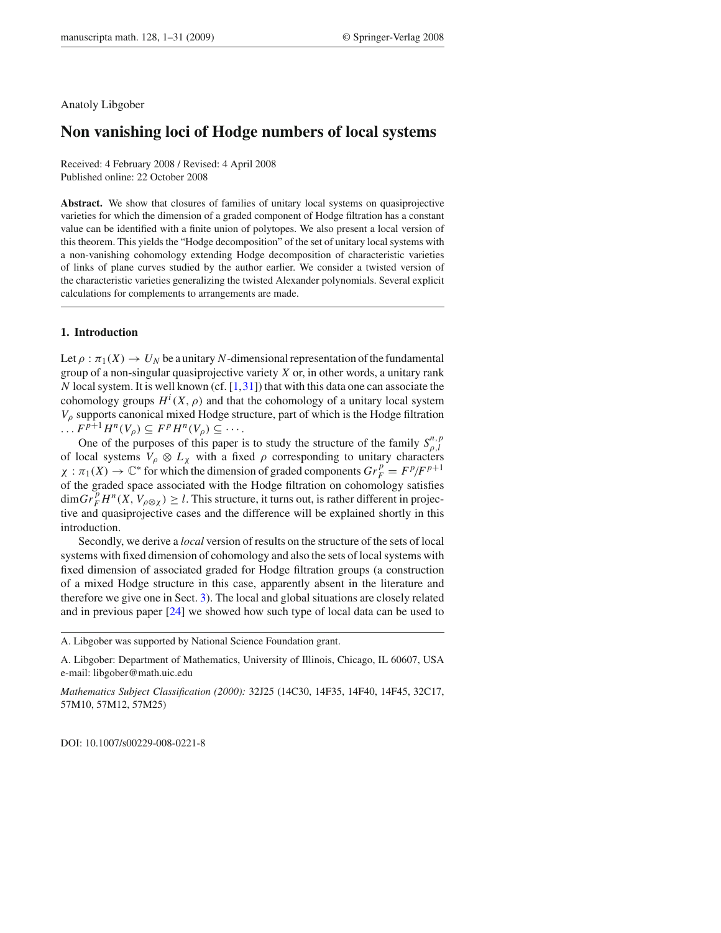#### Anatoly Libgober

# **Non vanishing loci of Hodge numbers of local systems**

Received: 4 February 2008 / Revised: 4 April 2008 Published online: 22 October 2008

**Abstract.** We show that closures of families of unitary local systems on quasiprojective varieties for which the dimension of a graded component of Hodge filtration has a constant value can be identified with a finite union of polytopes. We also present a local version of this theorem. This yields the "Hodge decomposition" of the set of unitary local systems with a non-vanishing cohomology extending Hodge decomposition of characteristic varieties of links of plane curves studied by the author earlier. We consider a twisted version of the characteristic varieties generalizing the twisted Alexander polynomials. Several explicit calculations for complements to arrangements are made.

#### **1. Introduction**

Let  $\rho : \pi_1(X) \to U_N$  be a unitary *N*-dimensional representation of the fundamental group of a non-singular quasiprojective variety *X* or, in other words, a unitary rank *N* local system. It is well known (cf.  $[1,31]$ ) that with this data one can associate the cohomology groups  $H^i(X, \rho)$  and that the cohomology of a unitary local system *V*<sup>ρ</sup> supports canonical mixed Hodge structure, part of which is the Hodge filtration  $\ldots$   $F^{p+1}H^n(V_\rho) \subseteq F^pH^n(V_\rho) \subseteq \cdots$ .

One of the purposes of this paper is to study the structure of the family  $S_{\rho,l}^{n,p}$ of local systems  $V_\rho \otimes L_\chi$  with a fixed  $\rho$  corresponding to unitary characters  $\chi : \pi_1(X) \to \mathbb{C}^*$  for which the dimension of graded components  $Gr_F^p = F^p/F^{p+1}$ of the graded space associated with the Hodge filtration on cohomology satisfies  $\dim Gr_F^p H^n(X, V_{\rho\otimes \chi}) \geq l$ . This structure, it turns out, is rather different in projective and quasiprojective cases and the difference will be explained shortly in this introduction.

Secondly, we derive a *local* version of results on the structure of the sets of local systems with fixed dimension of cohomology and also the sets of local systems with fixed dimension of associated graded for Hodge filtration groups (a construction of a mixed Hodge structure in this case, apparently absent in the literature and therefore we give one in Sect. 3). The local and global situations are closely related and in previous paper [24] we showed how such type of local data can be used to

*Mathematics Subject Classification (2000):* 32J25 (14C30, 14F35, 14F40, 14F45, 32C17, 57M10, 57M12, 57M25)

DOI: 10.1007/s00229-008-0221-8

A. Libgober was supported by National Science Foundation grant.

A. Libgober: Department of Mathematics, University of Illinois, Chicago, IL 60607, USA e-mail: libgober@math.uic.edu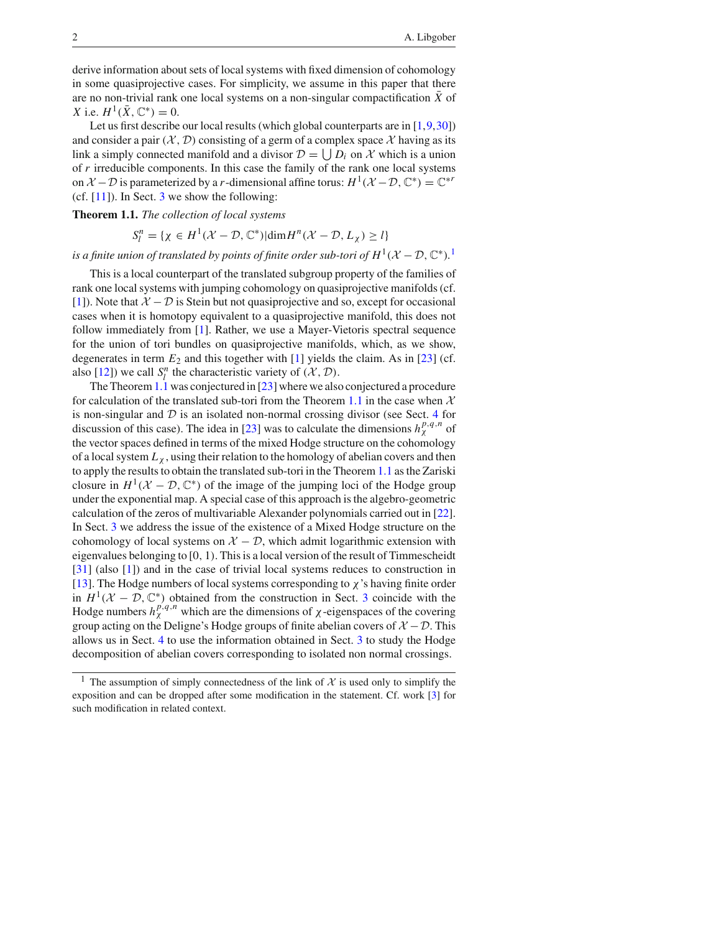derive information about sets of local systems with fixed dimension of cohomology in some quasiprojective cases. For simplicity, we assume in this paper that there are no non-trivial rank one local systems on a non-singular compactification  $\bar{X}$  of *X* i.e.  $H^1(\bar{X}, \mathbb{C}^*) = 0$ .

Let us first describe our local results (which global counterparts are in  $[1,9,30]$ ) and consider a pair  $(\mathcal{X}, \mathcal{D})$  consisting of a germ of a complex space  $\mathcal{X}$  having as its link a simply connected manifold and a divisor  $D = \bigcup D_i$  on X which is a union of *r* irreducible components. In this case the family of the rank one local systems on  $\mathcal{X} - \mathcal{D}$  is parameterized by a *r*-dimensional affine torus:  $H^1(\mathcal{X} - \mathcal{D}, \mathbb{C}^*) = \mathbb{C}^{*r}$ (cf.  $[11]$ ). In Sect. 3 we show the following:

**Theorem 1.1.** *The collection of local systems*

 $S_l^n = {\chi \in H^1(\mathcal{X} - \mathcal{D}, \mathbb{C}^*) | \dim H^n(\mathcal{X} - \mathcal{D}, L_\chi) \ge l}$ 

*is a finite union of translated by points of finite order sub-tori of*  $H^1(\mathcal{X}-\mathcal{D}, \mathbb{C}^*)$ *.*<sup>1</sup>

This is a local counterpart of the translated subgroup property of the families of rank one local systems with jumping cohomology on quasiprojective manifolds (cf. [1]). Note that  $X - D$  is Stein but not quasiprojective and so, except for occasional cases when it is homotopy equivalent to a quasiprojective manifold, this does not follow immediately from [1]. Rather, we use a Mayer-Vietoris spectral sequence for the union of tori bundles on quasiprojective manifolds, which, as we show, degenerates in term  $E_2$  and this together with  $[1]$  yields the claim. As in  $[23]$  (cf. also [12]) we call  $S_l^n$  the characteristic variety of  $(X, \mathcal{D})$ .

The Theorem 1.1 was conjectured in [23] where we also conjectured a procedure for calculation of the translated sub-tori from the Theorem 1.1 in the case when *X* is non-singular and *D* is an isolated non-normal crossing divisor (see Sect. 4 for discussion of this case). The idea in [23] was to calculate the dimensions  $h_{\gamma}^{p,q,n}$  of the vector spaces defined in terms of the mixed Hodge structure on the cohomology of a local system  $L<sub>x</sub>$ , using their relation to the homology of abelian covers and then to apply the results to obtain the translated sub-tori in the Theorem 1.1 as the Zariski closure in  $H^1(\mathcal{X} - \mathcal{D}, \mathbb{C}^*)$  of the image of the jumping loci of the Hodge group under the exponential map. A special case of this approach is the algebro-geometric calculation of the zeros of multivariable Alexander polynomials carried out in [22]. In Sect. 3 we address the issue of the existence of a Mixed Hodge structure on the cohomology of local systems on  $X - D$ , which admit logarithmic extension with eigenvalues belonging to [0*,* 1*)*. This is a local version of the result of Timmescheidt [31] (also [1]) and in the case of trivial local systems reduces to construction in [13]. The Hodge numbers of local systems corresponding to  $\chi$ 's having finite order in  $H^1(\mathcal{X} - \mathcal{D}, \mathbb{C}^*)$  obtained from the construction in Sect. 3 coincide with the Hodge numbers  $h_{\chi}^{p,q,n}$  which are the dimensions of  $\chi$ -eigenspaces of the covering group acting on the Deligne's Hodge groups of finite abelian covers of  $X - D$ . This allows us in Sect. 4 to use the information obtained in Sect. 3 to study the Hodge decomposition of abelian covers corresponding to isolated non normal crossings.

<sup>&</sup>lt;sup>1</sup> The assumption of simply connectedness of the link of  $\mathcal X$  is used only to simplify the exposition and can be dropped after some modification in the statement. Cf. work [3] for such modification in related context.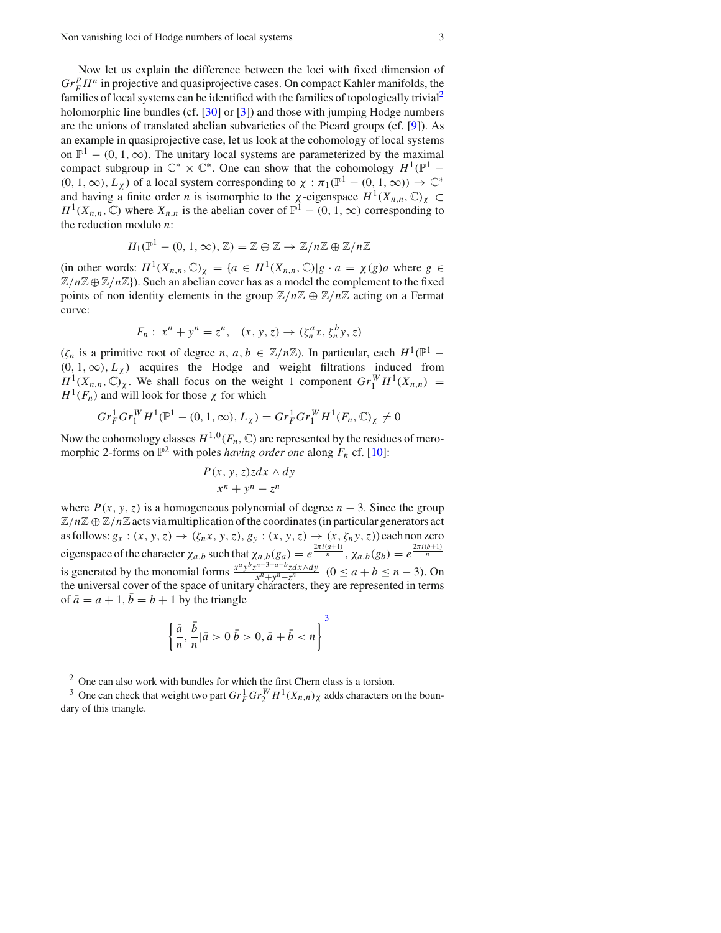Now let us explain the difference between the loci with fixed dimension of  $Gr_F^p H^n$  in projective and quasiprojective cases. On compact Kahler manifolds, the families of local systems can be identified with the families of topologically trivial<sup>2</sup> holomorphic line bundles (cf. [30] or [3]) and those with jumping Hodge numbers are the unions of translated abelian subvarieties of the Picard groups (cf. [9]). As an example in quasiprojective case, let us look at the cohomology of local systems on  $\mathbb{P}^1$  – (0, 1,  $\infty$ ). The unitary local systems are parameterized by the maximal compact subgroup in  $\mathbb{C}^* \times \mathbb{C}^*$ . One can show that the cohomology  $H^1(\mathbb{P}^1 (0, 1, \infty), L_\chi$  of a local system corresponding to  $\chi : \pi_1(\mathbb{P}^1 - (0, 1, \infty)) \to \mathbb{C}^*$ and having a finite order *n* is isomorphic to the  $\chi$ -eigenspace  $H^1(X_{n,n}, \mathbb{C})_\chi \subset$  $H^1(X_{n,n}, \mathbb{C})$  where  $X_{n,n}$  is the abelian cover of  $\mathbb{P}^1 - (0, 1, \infty)$  corresponding to the reduction modulo *n*:

$$
H_1(\mathbb{P}^1 - (0, 1, \infty), \mathbb{Z}) = \mathbb{Z} \oplus \mathbb{Z} \to \mathbb{Z}/n\mathbb{Z} \oplus \mathbb{Z}/n\mathbb{Z}
$$

(in other words:  $H^1(X_{n,n}, \mathbb{C})_\chi = \{a \in H^1(X_{n,n}, \mathbb{C}) | g \cdot a = \chi(g)a$  where  $g \in$  $\mathbb{Z}/n\mathbb{Z} \oplus \mathbb{Z}/n\mathbb{Z}$ ). Such an abelian cover has as a model the complement to the fixed points of non identity elements in the group  $\mathbb{Z}/n\mathbb{Z} \oplus \mathbb{Z}/n\mathbb{Z}$  acting on a Fermat curve:

$$
F_n: x^n + y^n = z^n, (x, y, z) \to (\zeta_n^a x, \zeta_n^b y, z)
$$

 $(\zeta_n)$  is a primitive root of degree *n*, *a*, *b*  $\in \mathbb{Z}/n\mathbb{Z}$ ). In particular, each  $H^1(\mathbb{P}^1 (0, 1, \infty)$ ,  $L_\chi$  acquires the Hodge and weight filtrations induced from  $H^1(X_{n,n}, \mathbb{C})$ <sub>*x*</sub>. We shall focus on the weight 1 component  $Gr_1^W H^1(X_{n,n}) =$  $H^1(F_n)$  and will look for those  $\chi$  for which

$$
Gr_F^1 Gr_1^W H^1(\mathbb{P}^1 - (0, 1, \infty), L_\chi) = Gr_F^1 Gr_1^W H^1(F_n, \mathbb{C})_\chi \neq 0
$$

Now the cohomology classes  $H^{1,0}(F_n, \mathbb{C})$  are represented by the residues of meromorphic 2-forms on  $\mathbb{P}^2$  with poles *having order one* along  $F_n$  cf. [10]:

$$
\frac{P(x, y, z)z dx \wedge dy}{x^n + y^n - z^n}
$$

where  $P(x, y, z)$  is a homogeneous polynomial of degree  $n - 3$ . Since the group  $\mathbb{Z}/n\mathbb{Z} \oplus \mathbb{Z}/n\mathbb{Z}$  acts via multiplication of the coordinates (in particular generators act as follows:  $g_x$ :  $(x, y, z) \rightarrow (\zeta_n x, y, z), g_y$ :  $(x, y, z) \rightarrow (x, \zeta_n y, z)$ ) each non zero eigenspace of the character  $\chi_{a,b}$  such that  $\chi_{a,b}(g_a) = e^{\frac{2\pi i(a+1)}{n}}$ ,  $\chi_{a,b}(g_b) = e^{\frac{2\pi i(b+1)}{n}}$ is generated by the monomial forms  $\frac{x^a y^b z^{n-3-a-b} z dx \wedge dy}{x^n + y^n - z^n}$  ( $0 \le a + b \le n - 3$ ). On the universal cover of the space of unitary characters, they are represented in terms of  $\bar{a} = a + 1$ ,  $\bar{b} = b + 1$  by the triangle

$$
\left\{\frac{\bar{a}}{n}, \frac{\bar{b}}{n} | \bar{a} > 0 \bar{b} > 0, \bar{a} + \bar{b} < n \right\}^{3}
$$

<sup>2</sup> One can also work with bundles for which the first Chern class is a torsion.

<sup>&</sup>lt;sup>3</sup> One can check that weight two part  $Gr_F^1 Gr_Y^W H^1(X_{n,n})_\chi$  adds characters on the boundary of this triangle.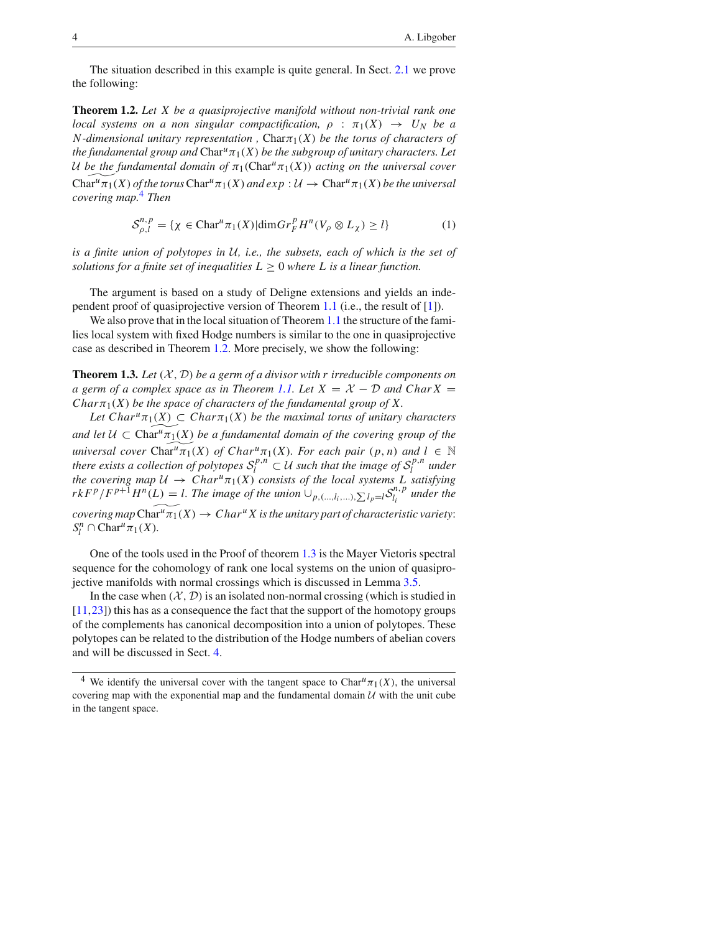The situation described in this example is quite general. In Sect. 2.1 we prove the following:

**Theorem 1.2.** *Let X be a quasiprojective manifold without non-trivial rank one local systems on a non singular compactification,*  $\rho : \pi_1(X) \rightarrow U_N$  *be a*  $N$ -dimensional unitary representation,  $Char_{1}(X)$  be the torus of characters of *the fundamental group and*  $Char<sup>u</sup> \pi_1(X)$  *be the subgroup of unitary characters. Let U be the fundamental domain of*  $\pi_1$ (Char<sup>*u*</sup> $\pi_1$ (*X*)) *acting on the universal cover*  $Char<sup>u</sup>π<sub>1</sub>(X)$  *of the torus*  $Char<sup>u</sup>π<sub>1</sub>(X)$  *and exp* :  $\mathcal{U} \rightarrow Char<sup>u</sup>π<sub>1</sub>(X)$  *be the universal covering map.*<sup>4</sup> *Then*

$$
S_{\rho,l}^{n,p} = \{ \chi \in \text{Char}^u \pi_1(X) | \dim Gr_F^p H^n (V_\rho \otimes L_\chi) \ge l \}
$$
 (1)

*is a finite union of polytopes in U, i.e., the subsets, each of which is the set of solutions for a finite set of inequalities*  $L \geq 0$  *where* L *is a linear function.* 

The argument is based on a study of Deligne extensions and yields an independent proof of quasiprojective version of Theorem 1.1 (i.e., the result of [1]).

We also prove that in the local situation of Theorem 1.1 the structure of the families local system with fixed Hodge numbers is similar to the one in quasiprojective case as described in Theorem 1.2. More precisely, we show the following:

**Theorem 1.3.** *Let (X , D) be a germ of a divisor with r irreducible components on a germ of a complex space as in Theorem 1.1. Let*  $X = X - D$  *and Char*  $X = D$ *Char* $\pi_1(X)$  *be the space of characters of the fundamental group of X.* 

*Let*  $Char<sup>u</sup> \pi_1(X) \subset Char\pi_1(X)$  *be the maximal torus of unitary characters and let*  $U \subset \text{Char}^u \pi_1(X)$  *be a fundamental domain of the covering group of the universal cover*  $Char<sup>u</sup>π<sub>1</sub>(X)$  *of*  $Char<sup>u</sup>π<sub>1</sub>(X)$ *<i>. For each pair*  $(p, n)$  *and*  $l \in \mathbb{N}$ *there exists a collection of polytopes*  $S_l^{p,n} \subset \mathcal{U}$  *such that the image of*  $S_l^{p,n}$  *under the covering map*  $U \to Char^{u}\pi_{1}(X)$  *consists of the local systems* L *satisfying*  $rkF^p/F^{p+1}H^n(L) = l$ . The image of the union  $\cup_{p,(...,l_i,...),\sum l_p=l} S_{l_i}^{n,p}$  under the *covering map*  $\operatorname{Char}^u \overline{\pi_1}(X) \to Char^u X$  *is the unitary part of characteristic variety:*  $S_l^n \cap \text{Char}^u \pi_1(X)$ *.* 

One of the tools used in the Proof of theorem 1.3 is the Mayer Vietoris spectral sequence for the cohomology of rank one local systems on the union of quasiprojective manifolds with normal crossings which is discussed in Lemma 3.5.

In the case when  $(X, D)$  is an isolated non-normal crossing (which is studied in [11,23]) this has as a consequence the fact that the support of the homotopy groups of the complements has canonical decomposition into a union of polytopes. These polytopes can be related to the distribution of the Hodge numbers of abelian covers and will be discussed in Sect. 4.

<sup>&</sup>lt;sup>4</sup> We identify the universal cover with the tangent space to Char<sup>u</sup> $\pi_1(X)$ , the universal covering map with the exponential map and the fundamental domain  $U$  with the unit cube in the tangent space.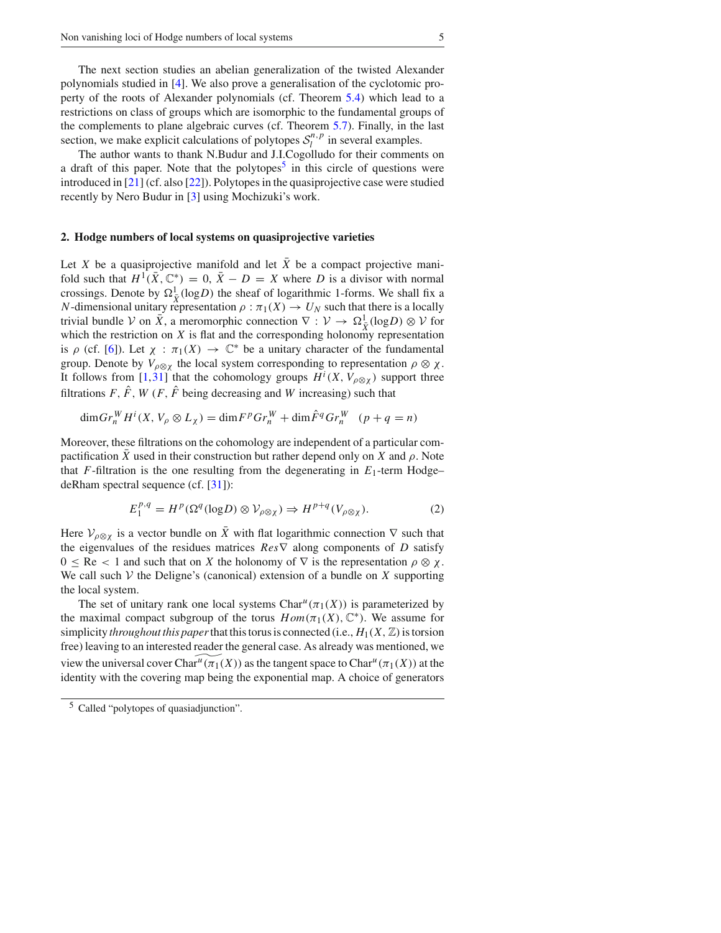The next section studies an abelian generalization of the twisted Alexander polynomials studied in [4]. We also prove a generalisation of the cyclotomic property of the roots of Alexander polynomials (cf. Theorem 5.4) which lead to a restrictions on class of groups which are isomorphic to the fundamental groups of the complements to plane algebraic curves (cf. Theorem 5.7). Finally, in the last section, we make explicit calculations of polytopes  $S_l^{n,p}$  in several examples.

The author wants to thank N.Budur and J.I.Cogolludo for their comments on a draft of this paper. Note that the polytopes<sup>5</sup> in this circle of questions were introduced in [21] (cf. also [22]). Polytopes in the quasiprojective case were studied recently by Nero Budur in [3] using Mochizuki's work.

#### **2. Hodge numbers of local systems on quasiprojective varieties**

Let *X* be a quasiprojective manifold and let  $\overline{X}$  be a compact projective manifold such that  $H^1(\bar{X}, \mathbb{C}^*) = 0$ ,  $\bar{X} - D = X$  where *D* is a divisor with normal crossings. Denote by  $\Omega^1_{\bar{X}}(\log D)$  the sheaf of logarithmic 1-forms. We shall fix a *N*-dimensional unitary representation  $\rho : \pi_1(X) \to U_N$  such that there is a locally trivial bundle *V* on  $\bar{X}$ , a meromorphic connection  $\nabla : V \to \Omega^1_{\bar{X}}(\log D) \otimes V$  for which the restriction on  $X$  is flat and the corresponding holonomy representation is  $\rho$  (cf. [6]). Let  $\chi : \pi_1(X) \to \mathbb{C}^*$  be a unitary character of the fundamental group. Denote by  $V_{\rho \otimes \chi}$  the local system corresponding to representation  $\rho \otimes \chi$ . It follows from [1,31] that the cohomology groups  $H^i(X, V_{\rho \otimes \chi})$  support three filtrations *F*,  $\hat{F}$ , *W* (*F*,  $\hat{F}$  being decreasing and *W* increasing) such that

$$
\dim Gr_n^W H^i(X, V_\rho \otimes L_\chi) = \dim F^p Gr_n^W + \dim \hat{F}^q Gr_n^W \quad (p+q=n)
$$

Moreover, these filtrations on the cohomology are independent of a particular compactification *X* used in their construction but rather depend only on *X* and  $\rho$ . Note that  $F$ -filtration is the one resulting from the degenerating in  $E_1$ -term Hodge– deRham spectral sequence (cf. [31]):

$$
E_1^{p,q} = H^p(\Omega^q(\log D) \otimes V_{\rho \otimes \chi}) \Rightarrow H^{p+q}(V_{\rho \otimes \chi}).
$$
 (2)

Here  $V_{\rho \otimes \chi}$  is a vector bundle on  $\bar{X}$  with flat logarithmic connection  $\nabla$  such that the eigenvalues of the residues matrices *Res*∇ along components of *D* satisfy  $0 \leq \text{Re} < 1$  and such that on X the holonomy of  $\nabla$  is the representation  $\rho \otimes \chi$ . We call such  $V$  the Deligne's (canonical) extension of a bundle on  $X$  supporting the local system.

The set of unitary rank one local systems  $Char^u(\pi_1(X))$  is parameterized by the maximal compact subgroup of the torus  $Hom(\pi_1(X), \mathbb{C}^*)$ . We assume for simplicity *throughout this paper* that this torus is connected (i.e.,  $H_1(X, \mathbb{Z})$  is torsion free) leaving to an interested reader the general case. As already was mentioned, we view the universal cover Char<sup>*u*</sup>( $\pi_1(X)$ ) as the tangent space to Char<sup>*u*</sup>( $\pi_1(X)$ ) at the identity with the covering map being the exponential map. A choice of generators

<sup>5</sup> Called "polytopes of quasiadjunction".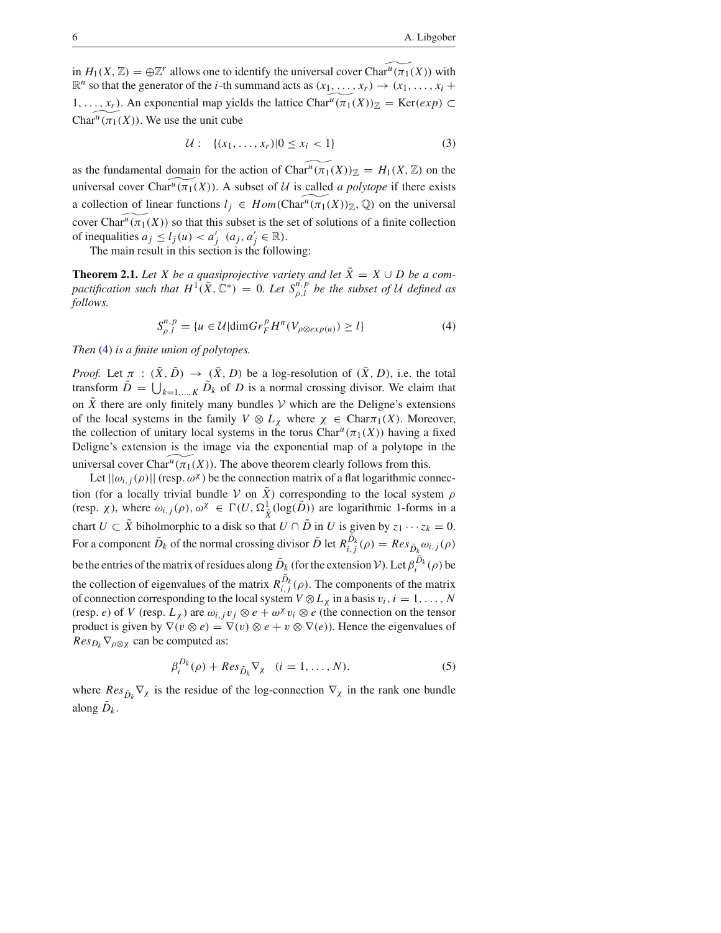in  $H_1(X, \mathbb{Z}) = \bigoplus \mathbb{Z}^r$  allows one to identify the universal cover Char<sup>u</sup> $(\pi_1(X))$  with  $\mathbb{R}^n$  so that the generator of the *i*-th summand acts as  $(x_1, \ldots, x_r) \rightarrow (x_1, \ldots, x_i +$ 1, ..., *x<sub>r</sub>*). An exponential map yields the lattice Char<sup>*u*</sup>(π<sub>1</sub>(*X*))<sub> $Z$ </sub> = Ker(*exp*) ⊂ Char<sup>*u*</sup>( $\pi_1(X)$ ). We use the unit cube

$$
\mathcal{U}: \ \{(x_1, \ldots, x_r) | 0 \le x_i < 1\} \tag{3}
$$

as the fundamental domain for the action of  $Char^u(\pi_1(X))_{\mathbb{Z}} = H_1(X, \mathbb{Z})$  on the universal cover Char<sup>*u*</sup>( $\pi_1(X)$ ). A subset of *U* is called *a polytope* if there exists a collection of linear functions  $l_i \in Hom(\text{Char}^u(\pi_1(X))_{\mathbb{Z}}, \mathbb{Q})$  on the universal cover Char<sup> $u$ </sup>( $\pi$ <sub>1</sub>(*X*)) so that this subset is the set of solutions of a finite collection of inequalities  $a_j \le l_j(u) < a'_j$   $(a_j, a'_j \in \mathbb{R})$ .

The main result in this section is the following:

**Theorem 2.1.** *Let X be a quasiprojective variety and let*  $\bar{X} = X \cup D$  *be a compactification such that*  $H^1(\bar{X}, \mathbb{C}^*) = 0$ *. Let*  $S_{\rho,l}^{n,p}$  *be the subset of U defined as follows.*

$$
S_{\rho,l}^{n,p} = \{ u \in \mathcal{U} | \dim Gr_F^p H^n (V_{\rho \otimes exp(u)}) \ge l \}
$$
 (4)

*Then* (4) *is a finite union of polytopes.*

*Proof.* Let  $\pi$  :  $(\tilde{X}, \tilde{D}) \rightarrow (\tilde{X}, D)$  be a log-resolution of  $(\tilde{X}, D)$ , i.e. the total transform  $\tilde{D} = \bigcup_{k=1,\dots,K} \tilde{D}_k$  of *D* is a normal crossing divisor. We claim that on  $\tilde{X}$  there are only finitely many bundles  $V$  which are the Deligne's extensions of the local systems in the family  $V \otimes L_{\chi}$  where  $\chi \in \text{Char}_{\mathcal{T}_1}(X)$ . Moreover, the collection of unitary local systems in the torus  $Char<sup>u</sup>(\pi_1(X))$  having a fixed Deligne's extension is the image via the exponential map of a polytope in the universal cover Char<sup>*u*</sup>( $\pi_1(X)$ ). The above theorem clearly follows from this.

Let  $||\omega_{i,i}(\rho)||$  (resp.  $\omega^{\chi}$ ) be the connection matrix of a flat logarithmic connection (for a locally trivial bundle *V* on  $\tilde{X}$ ) corresponding to the local system  $\rho$ (resp.  $\chi$ ), where  $\omega_{i,j}(\rho), \omega^{\chi} \in \Gamma(U, \Omega^1_{\tilde{X}}(\log(\tilde{D}))$  are logarithmic 1-forms in a chart *U*  $\subset \tilde{X}$  biholmorphic to a disk so that *U*  $\cap$  *D* in *U* is given by  $z_1 \cdots z_k = 0$ . For a component  $\tilde{D}_k$  of the normal crossing divisor  $\tilde{D}$  let  $R_{i,j}^{\tilde{D}_k}(\rho) = Res_{\tilde{D}_k} \omega_{i,j}(\rho)$ be the entries of the matrix of residues along  $\tilde{D}_k$  (for the extension *V*). Let  $\beta_i^{D_k}(\rho)$  be the collection of eigenvalues of the matrix  $R^{D_k}_{i,j}(\rho)$ . The components of the matrix of connection corresponding to the local system  $V \otimes L_\chi$  in a basis  $v_i, i = 1, \ldots, N$ (resp. *e*) of *V* (resp.  $L_\chi$ ) are  $\omega_{i,j}v_j \otimes e + \omega^\chi v_i \otimes e$  (the connection on the tensor product is given by  $\nabla(v \otimes e) = \nabla(v) \otimes e + v \otimes \nabla(e)$ . Hence the eigenvalues of  $Res_{D_k} \nabla_{\rho \otimes \chi}$  can be computed as:

$$
\beta_i^{D_k}(\rho) + Res_{\tilde{D}_k} \nabla_{\chi} \quad (i = 1, \dots, N). \tag{5}
$$

where  $Res_{\tilde{D}_k} \nabla_{\chi}$  is the residue of the log-connection  $\nabla_{\chi}$  in the rank one bundle along  $D_k$ .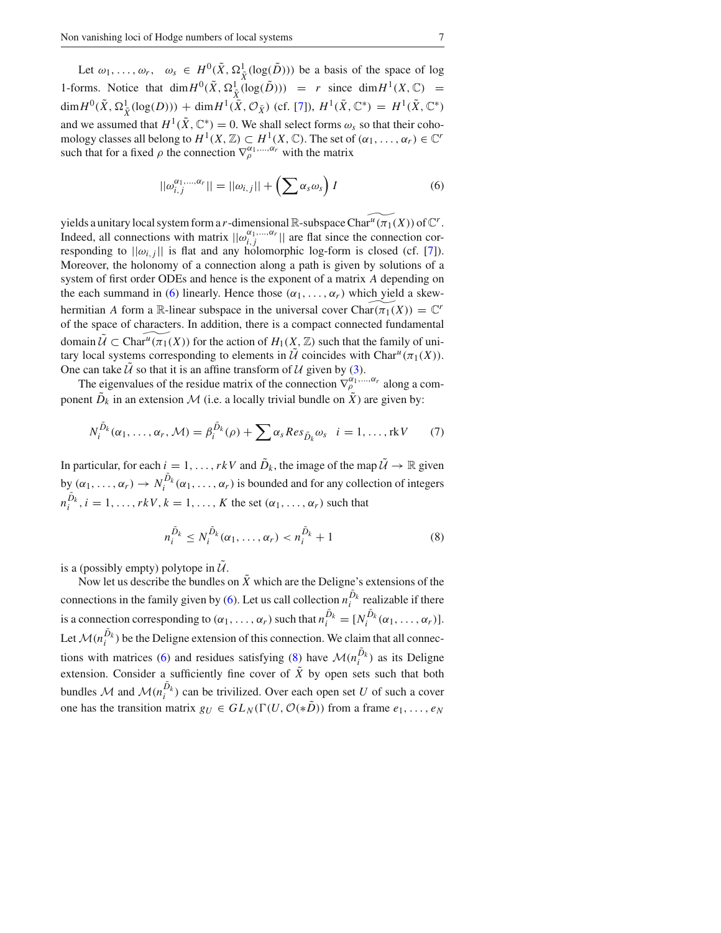Let  $\omega_1, \ldots, \omega_r$ ,  $\omega_s \in H^0(\tilde{X}, \Omega^1_{\tilde{X}}(\log(\tilde{D})))$  be a basis of the space of log 1-forms. Notice that  $\dim H^0(\tilde{X}, \Omega^1_{\tilde{X}}(\log(\tilde{D}))) = r$  since  $\dim H^1(X, \mathbb{C}) =$  $\dim H^0(\tilde{X}, \Omega^1_{\tilde{X}}(\log(D))) + \dim H^1(\bar{X}, \mathcal{O}_{\bar{X}})$  (cf. [7]),  $H^1(\bar{X}, \mathbb{C}^*) = H^1(\tilde{X}, \mathbb{C}^*)$ and we assumed that  $H^1(\tilde{X}, \mathbb{C}^*) = 0$ . We shall select forms  $\omega_s$  so that their cohomology classes all belong to  $H^1(X, \mathbb{Z}) \subset H^1(X, \mathbb{C})$ . The set of  $(\alpha_1, \ldots, \alpha_r) \in \mathbb{C}^r$ such that for a fixed  $\rho$  the connection  $\nabla_{\rho}^{\alpha_1,...,\alpha_r}$  with the matrix

$$
||\omega_{i,j}^{\alpha_1,\dots,\alpha_r}|| = ||\omega_{i,j}|| + \left(\sum \alpha_s \omega_s\right)I\tag{6}
$$

yields a unitary local system form a *r*-dimensional  $\mathbb{R}$ -subspace Char<sup>*u*</sup>( $\pi_1(X)$ ) of  $\mathbb{C}^r$ . Indeed, all connections with matrix  $||\omega_{i,j}^{\alpha_1,\dots,\alpha_r}||$  are flat since the connection corresponding to  $||\omega_{i,j}||$  is flat and any holomorphic log-form is closed (cf. [7]). Moreover, the holonomy of a connection along a path is given by solutions of a system of first order ODEs and hence is the exponent of a matrix *A* depending on the each summand in (6) linearly. Hence those  $(\alpha_1, \ldots, \alpha_r)$  which yield a skewhermitian *A* form a R-linear subspace in the universal cover  $Char(\pi_1(X)) = \mathbb{C}^r$ of the space of characters. In addition, there is a compact connected fundamental domain  $\tilde{U} \subset \text{Char}^u(\pi_1(X))$  for the action of  $H_1(X, \mathbb{Z})$  such that the family of unitary local systems corresponding to elements in  $\mathcal{U}$  coincides with Char<sup>u</sup> $(\pi_1(X))$ . One can take  $U$  so that it is an affine transform of  $U$  given by (3).

The eigenvalues of the residue matrix of the connection  $\nabla_\rho^{\alpha_1, \dots, \alpha_r}$  along a component  $\tilde{D}_k$  in an extension  $\mathcal M$  (i.e. a locally trivial bundle on  $\tilde{X}$ ) are given by:

$$
N_i^{\tilde{D}_k}(\alpha_1,\ldots,\alpha_r,\mathcal{M}) = \beta_i^{\tilde{D}_k}(\rho) + \sum \alpha_s Res_{\tilde{D}_k} \omega_s \quad i = 1,\ldots,\text{rk} V \tag{7}
$$

In particular, for each  $i = 1, \ldots, rkV$  and  $\tilde{D}_k$ , the image of the map  $\tilde{U} \to \mathbb{R}$  given by  $(\alpha_1, \ldots, \alpha_r) \to N_i^{D_k}(\alpha_1, \ldots, \alpha_r)$  is bounded and for any collection of integers  $n_i^{D_k}$ ,  $i = 1, \ldots, rkV$ ,  $k = 1, \ldots, K$  the set  $(\alpha_1, \ldots, \alpha_r)$  such that

$$
n_i^{\tilde{D}_k} \le N_i^{\tilde{D}_k}(\alpha_1, \dots, \alpha_r) < n_i^{\tilde{D}_k} + 1 \tag{8}
$$

is a (possibly empty) polytope in  $\mathcal{U}$ .

Now let us describe the bundles on  $\tilde{X}$  which are the Deligne's extensions of the connections in the family given by (6). Let us call collection  $n_i^{D_k}$  realizable if there is a connection corresponding to  $(\alpha_1, \ldots, \alpha_r)$  such that  $n_i^{\tilde{D}_k} = [N_i^{\tilde{D}_k}(\alpha_1, \ldots, \alpha_r)].$ Let  $\mathcal{M}(n_i^{D_k})$  be the Deligne extension of this connection. We claim that all connections with matrices (6) and residues satisfying (8) have  $\mathcal{M}(n_i^{D_k})$  as its Deligne extension. Consider a sufficiently fine cover of  $\tilde{X}$  by open sets such that both bundles *M* and  $M(n_i^{D_k})$  can be trivilized. Over each open set *U* of such a cover one has the transition matrix  $g_U \in GL_N(\Gamma(U, \mathcal{O}(*\tilde{D}))$  from a frame  $e_1, \ldots, e_N$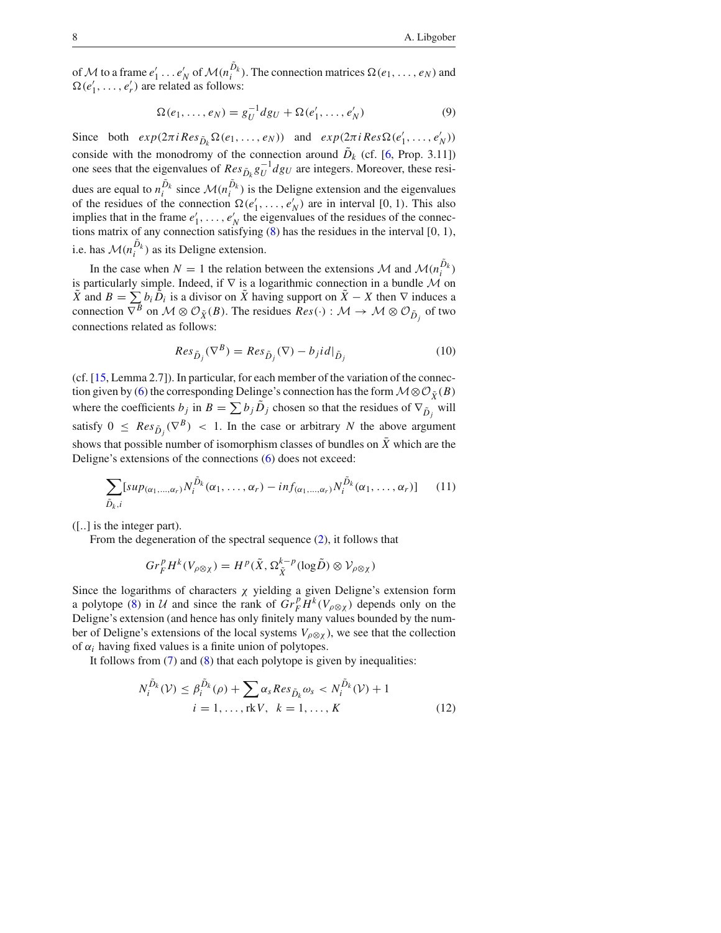of M to a frame  $e'_1 \ldots e'_N$  of  $\mathcal{M}(n_i^{\bar{D}_k})$ . The connection matrices  $\Omega(e_1, \ldots, e_N)$  and  $\Omega(e'_1, \ldots, e'_r)$  are related as follows:

$$
\Omega(e_1, ..., e_N) = g_U^{-1} dg_U + \Omega(e'_1, ..., e'_N)
$$
\n(9)

Since both  $exp(2\pi i Res_{\tilde{D}_k} \Omega(e_1, ..., e_N))$  and  $exp(2\pi i Res_{\Omega}(e'_1, ..., e'_N))$ conside with the monodromy of the connection around  $\tilde{D}_k$  (cf. [6, Prop. 3.11]) one sees that the eigenvalues of  $Res_{\tilde{D}_k} g_U^{-1} dg_U$  are integers. Moreover, these residues are equal to  $n_i^{\bar{D}_k}$  since  $\mathcal{M}(n_i^{\bar{D}_k})$  is the Deligne extension and the eigenvalues of the residues of the connection  $\Omega(e'_1, \ldots, e'_N)$  are in interval [0, 1). This also implies that in the frame  $e'_1, \ldots, e'_N$  the eigenvalues of the residues of the connections matrix of any connection satisfying (8) has the residues in the interval [0*,* 1*)*, i.e. has  $\mathcal{M}(n_i^{D_k})$  as its Deligne extension.

In the case when  $N = 1$  the relation between the extensions  $M$  and  $M(n_i^{\overline{D}_k})$ is particularly simple. Indeed, if ∇ is a logarithmic connection in a bundle *M* on  $\tilde{X}$  and  $B = \sum b_i \tilde{D}_i$  is a divisor on  $\tilde{X}$  having support on  $\tilde{X} - X$  then  $\nabla$  induces a connection  $\nabla^B$  on  $\mathcal{M} \otimes \mathcal{O}_{\tilde{X}}(B)$ . The residues  $Res(\cdot) : \mathcal{M} \to \mathcal{M} \otimes \mathcal{O}_{\tilde{D}_j}$  of two connections related as follows:

$$
Res_{\tilde{D}_j}(\nabla^B) = Res_{\tilde{D}_j}(\nabla) - b_j id|_{\tilde{D}_j}
$$
\n(10)

(cf. [15, Lemma 2.7]). In particular, for each member of the variation of the connection given by (6) the corresponding Delinge's connection has the form  $M \otimes \mathcal{O}_{\tilde{X}}(B)$ where the coefficients  $b_j$  in  $B = \sum b_j \tilde{D}_j$  chosen so that the residues of  $\nabla_{\tilde{D}_j}$  will satisfy  $0 \leq Res_{\tilde{D}_j}(\nabla^B) < 1$ . In the case or arbitrary *N* the above argument shows that possible number of isomorphism classes of bundles on  $\overline{X}$  which are the Deligne's extensions of the connections (6) does not exceed:

$$
\sum_{\tilde{D}_k,i} [sup_{(\alpha_1,\ldots,\alpha_r)} N_i^{\tilde{D}_k}(\alpha_1,\ldots,\alpha_r) - inf_{(\alpha_1,\ldots,\alpha_r)} N_i^{\tilde{D}_k}(\alpha_1,\ldots,\alpha_r)] \qquad (11)
$$

([*..*] is the integer part).

From the degeneration of the spectral sequence (2), it follows that

$$
Gr_F^p H^k(V_{\rho \otimes \chi}) = H^p(\tilde{X}, \Omega_{\tilde{X}}^{k-p}(\log \tilde{D}) \otimes V_{\rho \otimes \chi})
$$

Since the logarithms of characters  $\chi$  yielding a given Deligne's extension form a polytope (8) in *U* and since the rank of  $\overline{Gr}_F^p H^k(V_{\rho \otimes \chi})$  depends only on the Deligne's extension (and hence has only finitely many values bounded by the number of Deligne's extensions of the local systems  $V_{\rho \otimes \chi}$ ), we see that the collection of  $\alpha_i$  having fixed values is a finite union of polytopes.

It follows from (7) and (8) that each polytope is given by inequalities:

$$
N_i^{\tilde{D}_k}(\mathcal{V}) \le \beta_i^{\tilde{D}_k}(\rho) + \sum_{i=1,\dots,\text{rk}} \alpha_s Res_{\tilde{D}_k} \omega_s < N_i^{\tilde{D}_k}(\mathcal{V}) + 1
$$
\n
$$
i = 1, \dots, \text{rk}\mathcal{V}, \quad k = 1, \dots, K \tag{12}
$$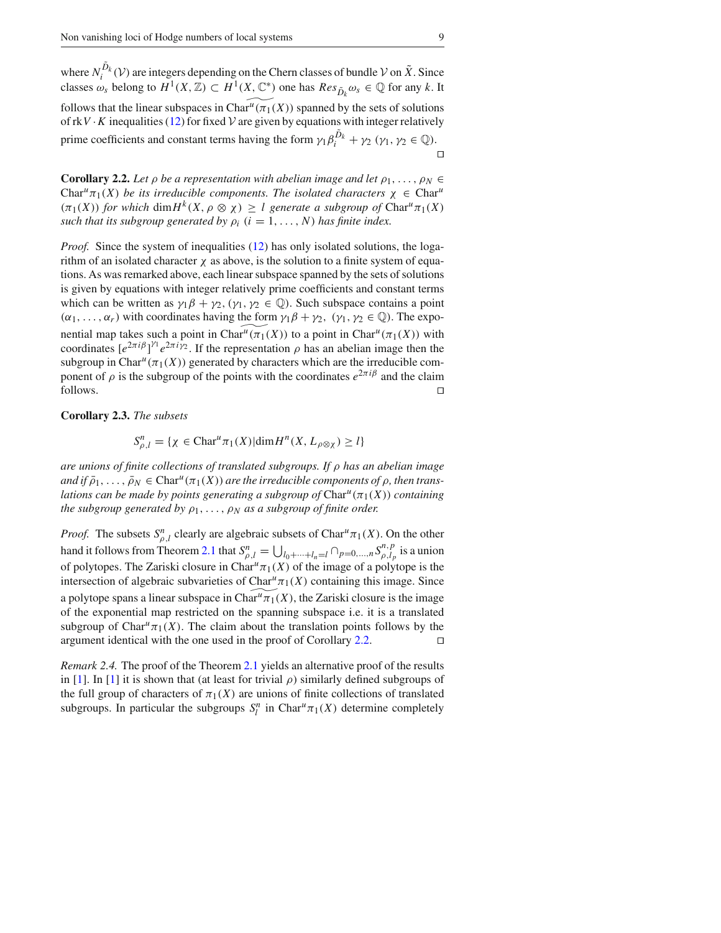where  $N_i^{\bar{D}_k}(\mathcal{V})$  are integers depending on the Chern classes of bundle  $\mathcal{V}$  on  $\tilde{X}$ . Since classes  $\omega_s$  belong to  $H^1(X, \mathbb{Z}) \subset H^1(X, \mathbb{C}^*)$  one has  $Res_{\tilde{D}_k} \omega_s \in \mathbb{Q}$  for any *k*. It follows that the linear subspaces in Char<sup>*u*</sup>( $\pi_1(X)$ ) spanned by the sets of solutions of  $rkV \cdot K$  inequalities (12) for fixed  $V$  are given by equations with integer relatively prime coefficients and constant terms having the form  $\gamma_1 \beta_i^{D_k} + \gamma_2$  ( $\gamma_1, \gamma_2 \in \mathbb{Q}$ ).  $\Box$ 

**Corollary 2.2.** Let  $\rho$  be a representation with abelian image and let  $\rho_1, \ldots, \rho_N \in$ Char<sup>*u*</sup> $\pi_1(X)$  *be its irreducible components. The isolated characters*  $\chi \in \text{Char}^u$  $(\pi_1(X))$  *for which* dim  $H^k(X, \rho \otimes \chi) \geq l$  generate a subgroup of Char<sup>u</sup> $\pi_1(X)$ *such that its subgroup generated by*  $\rho_i$  ( $i = 1, \ldots, N$ ) *has finite index.* 

*Proof.* Since the system of inequalities (12) has only isolated solutions, the logarithm of an isolated character  $\chi$  as above, is the solution to a finite system of equations. As was remarked above, each linear subspace spanned by the sets of solutions is given by equations with integer relatively prime coefficients and constant terms which can be written as  $\gamma_1 \beta + \gamma_2$ ,  $(\gamma_1, \gamma_2 \in \mathbb{Q})$ . Such subspace contains a point  $(\alpha_1, \ldots, \alpha_r)$  with coordinates having the form  $\gamma_1 \beta + \gamma_2$ ,  $(\gamma_1, \gamma_2 \in \mathbb{Q})$ . The exponential map takes such a point in Char<sup>*u*</sup>( $\pi_1(X)$ ) to a point in Char<sup>*u*</sup>( $\pi_1(X)$ ) with coordinates  $[e^{2\pi i \beta}]^{\gamma_1} e^{2\pi i \gamma_2}$ . If the representation  $\rho$  has an abelian image then the subgroup in Char<sup>*u*</sup>( $\pi_1(X)$ ) generated by characters which are the irreducible component of  $\rho$  is the subgroup of the points with the coordinates  $e^{2\pi i \beta}$  and the claim follows.  $□$ 

**Corollary 2.3.** *The subsets*

$$
S_{\rho,l}^n = \{ \chi \in \text{Char}^u \pi_1(X) | \dim H^n(X, L_{\rho \otimes \chi}) \ge l \}
$$

*are unions of finite collections of translated subgroups. If* ρ *has an abelian image*  $\partial f$  *and if*  $\overline{\rho}_1, \ldots, \overline{\rho}_N \in \text{Char}^u(\pi_1(X))$  *are the irreducible components of*  $\rho$ *, then translations can be made by points generating a subgroup of*  $Char<sup>u</sup>(\pi_1(X))$  *containing the subgroup generated by*  $\rho_1, \ldots, \rho_N$  *as a subgroup of finite order.* 

*Proof.* The subsets  $S_{\rho,l}^n$  clearly are algebraic subsets of Char<sup>*u*</sup> $\pi_1(X)$ . On the other hand it follows from Theorem 2.1 that  $S_{\rho,l}^n = \bigcup_{l_0+\cdots+l_n=l} \bigcap_{p=0,\ldots,n} S_{\rho,l_p}^{n,p}$  is a union of polytopes. The Zariski closure in Char<sup>u</sup> $\pi_1(X)$  of the image of a polytope is the intersection of algebraic subvarieties of Char<sup>u</sup> $\pi_1(X)$  containing this image. Since a polytope spans a linear subspace in Char $^{\mu} \pi_1(X)$ , the Zariski closure is the image of the exponential map restricted on the spanning subspace i.e. it is a translated subgroup of Char<sup>u</sup> $\pi_1(X)$ . The claim about the translation points follows by the argument identical with the one used in the proof of Corollary 2.2. □

*Remark 2.4.* The proof of the Theorem 2.1 yields an alternative proof of the results in [1]. In [1] it is shown that (at least for trivial  $\rho$ ) similarly defined subgroups of the full group of characters of  $\pi_1(X)$  are unions of finite collections of translated subgroups. In particular the subgroups  $S_l^n$  in Char<sup>u</sup> $\pi_1(X)$  determine completely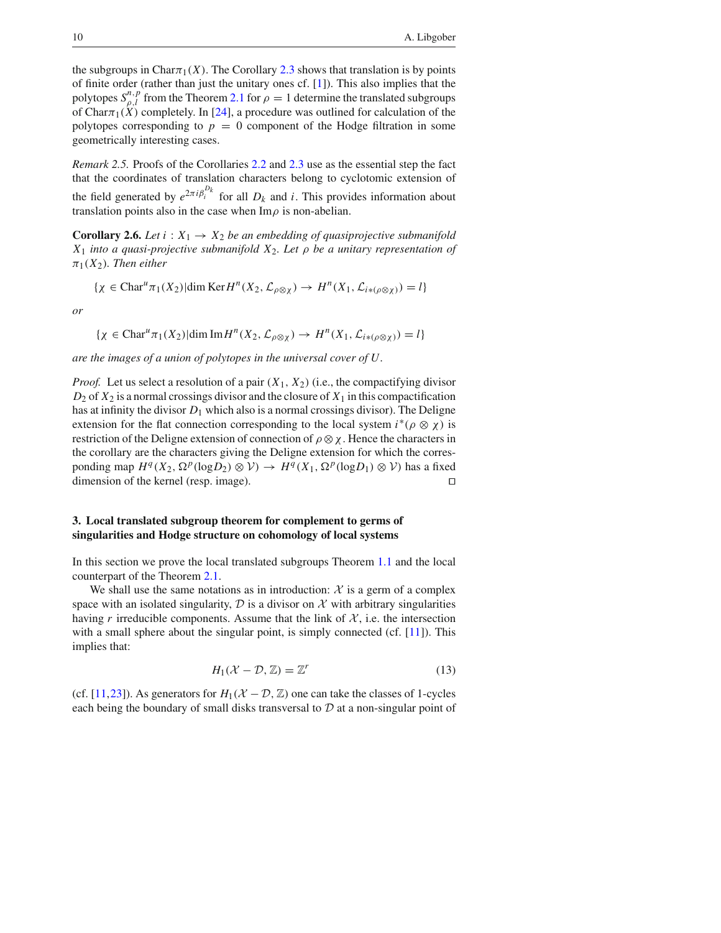the subgroups in Char $\pi_1(X)$ . The Corollary 2.3 shows that translation is by points of finite order (rather than just the unitary ones cf. [1]). This also implies that the polytopes  $S_{\rho,l}^{n,p}$  from the Theorem 2.1 for  $\rho = 1$  determine the translated subgroups of Char $\pi_1(X)$  completely. In [24], a procedure was outlined for calculation of the polytopes corresponding to  $p = 0$  component of the Hodge filtration in some geometrically interesting cases.

*Remark 2.5.* Proofs of the Corollaries 2.2 and 2.3 use as the essential step the fact that the coordinates of translation characters belong to cyclotomic extension of the field generated by  $e^{2\pi i \beta_i^{D_k}}$  for all  $D_k$  and *i*. This provides information about translation points also in the case when  $\text{Im}\rho$  is non-abelian.

**Corollary 2.6.** *Let i* :  $X_1 \rightarrow X_2$  *be an embedding of quasiprojective submanifold X*<sup>1</sup> *into a quasi-projective submanifold X*2*. Let* ρ *be a unitary representation of*  $\pi_1(X_2)$ *. Then either* 

$$
\{\chi \in \text{Char}^u \pi_1(X_2) | \dim \text{Ker} H^n(X_2, \mathcal{L}_{\rho \otimes \chi}) \to H^n(X_1, \mathcal{L}_{i*(\rho \otimes \chi)}) = l\}
$$

*or*

 $\{\chi \in \text{Char}^u \pi_1(X_2) | \text{dim }\text{Im} H^n(X_2, \mathcal{L}_{\rho \otimes \chi}) \to H^n(X_1, \mathcal{L}_{i*(\rho \otimes \chi)}) = l\}$ 

*are the images of a union of polytopes in the universal cover of U.*

*Proof.* Let us select a resolution of a pair  $(X_1, X_2)$  (i.e., the compactifying divisor  $D_2$  of  $X_2$  is a normal crossings divisor and the closure of  $X_1$  in this compactification has at infinity the divisor *D*<sup>1</sup> which also is a normal crossings divisor). The Deligne extension for the flat connection corresponding to the local system  $i^*(\rho \otimes \chi)$  is restriction of the Deligne extension of connection of  $\rho \otimes \chi$ . Hence the characters in the corollary are the characters giving the Deligne extension for which the corresponding map  $H^q(X_2, \Omega^p(\log D_2) \otimes V) \to H^q(X_1, \Omega^p(\log D_1) \otimes V)$  has a fixed dimension of the kernel (resp. image). □

### **3. Local translated subgroup theorem for complement to germs of singularities and Hodge structure on cohomology of local systems**

In this section we prove the local translated subgroups Theorem 1.1 and the local counterpart of the Theorem 2.1.

We shall use the same notations as in introduction:  $X$  is a germ of a complex space with an isolated singularity,  $D$  is a divisor on  $\mathcal X$  with arbitrary singularities having *r* irreducible components. Assume that the link of  $\mathcal{X}$ , i.e. the intersection with a small sphere about the singular point, is simply connected  $(cf. [11])$ . This implies that:

$$
H_1(\mathcal{X} - \mathcal{D}, \mathbb{Z}) = \mathbb{Z}^r \tag{13}
$$

(cf. [11,23]). As generators for  $H_1(\mathcal{X} - \mathcal{D}, \mathbb{Z})$  one can take the classes of 1-cycles each being the boundary of small disks transversal to *D* at a non-singular point of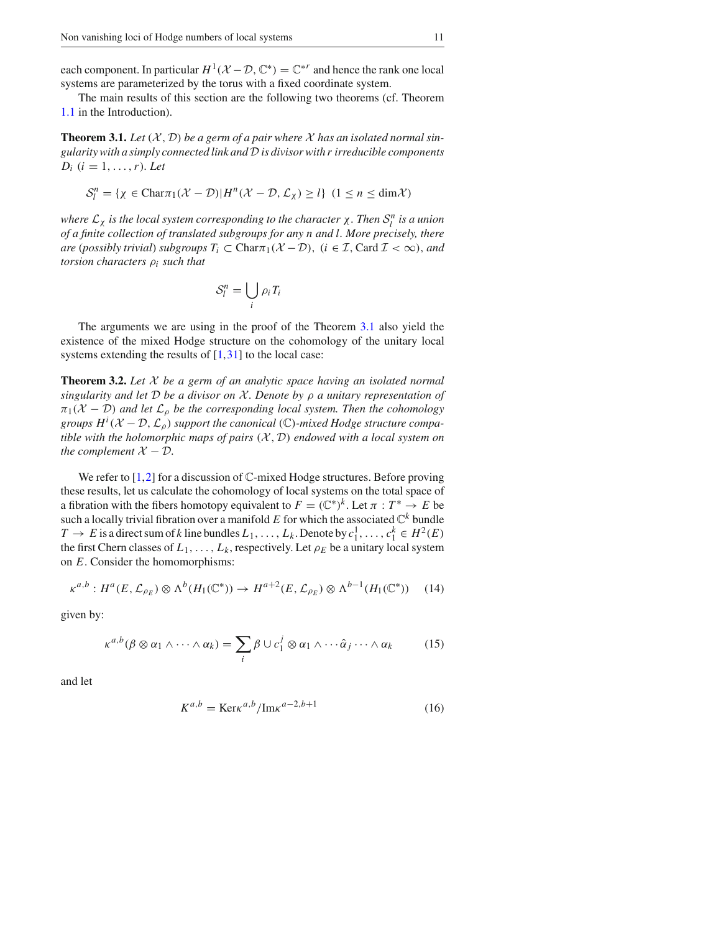each component. In particular  $H^1(\mathcal{X} - \mathcal{D}, \mathbb{C}^*) = \mathbb{C}^{*r}$  and hence the rank one local systems are parameterized by the torus with a fixed coordinate system.

The main results of this section are the following two theorems (cf. Theorem 1.1 in the Introduction).

**Theorem 3.1.** Let  $(X, D)$  be a germ of a pair where  $X$  has an isolated normal sin*gularity with a simply connected link andD is divisor with r irreducible components*  $D_i$   $(i = 1, ..., r)$ *. Let* 

$$
\mathcal{S}_l^n = \{ \chi \in \text{Char}\pi_1(\mathcal{X} - \mathcal{D}) | H^n(\mathcal{X} - \mathcal{D}, \mathcal{L}_\chi) \ge l \} \ (1 \le n \le \dim \mathcal{X})
$$

*where*  $\mathcal{L}_\chi$  *is the local system corresponding to the character*  $\chi$ *. Then*  $\mathcal{S}_l^n$  *is a union of a finite collection of translated subgroups for any n and l. More precisely, there are* (*possibly trivial*) *subgroups*  $T_i \subset \text{Char}\pi_1(\mathcal{X}-\mathcal{D})$ , ( $i \in \mathcal{I}$ , Card  $\mathcal{I} < \infty$ ), and *torsion characters* ρ*<sup>i</sup> such that*

$$
\mathcal{S}_l^n = \bigcup_i \rho_i T_i
$$

The arguments we are using in the proof of the Theorem 3.1 also yield the existence of the mixed Hodge structure on the cohomology of the unitary local systems extending the results of  $[1,31]$  to the local case:

**Theorem 3.2.** *Let X be a germ of an analytic space having an isolated normal singularity and let D be a divisor on X . Denote by* ρ *a unitary representation of*  $\pi_1(\mathcal{X}-\mathcal{D})$  *and let*  $\mathcal{L}_\rho$  *be the corresponding local system. Then the cohomology groups*  $H^i(X - D, \mathcal{L}_\rho)$  *support the canonical* ( $\mathbb{C}$ *)-mixed Hodge structure compatible with the holomorphic maps of pairs*  $(X, D)$  *endowed with a local system on the complement*  $X - D$ *.* 

We refer to  $[1,2]$  for a discussion of  $\mathbb C$ -mixed Hodge structures. Before proving these results, let us calculate the cohomology of local systems on the total space of a fibration with the fibers homotopy equivalent to  $F = (\mathbb{C}^*)^k$ . Let  $\pi : T^* \to E$  be such a locally trivial fibration over a manifold  $E$  for which the associated  $\mathbb{C}^k$  bundle  $T \to E$  is a direct sum of *k* line bundles  $L_1, \ldots, L_k$ . Denote by  $c_1^1, \ldots, c_1^k \in H^2(E)$ the first Chern classes of  $L_1, \ldots, L_k$ , respectively. Let  $\rho_E$  be a unitary local system on *E*. Consider the homomorphisms:

$$
\kappa^{a,b}: H^a(E, \mathcal{L}_{\rho_E}) \otimes \Lambda^b(H_1(\mathbb{C}^*)) \to H^{a+2}(E, \mathcal{L}_{\rho_E}) \otimes \Lambda^{b-1}(H_1(\mathbb{C}^*)) \tag{14}
$$

given by:

$$
\kappa^{a,b}(\beta \otimes \alpha_1 \wedge \cdots \wedge \alpha_k) = \sum_i \beta \cup c_1^j \otimes \alpha_1 \wedge \cdots \hat{\alpha}_j \cdots \wedge \alpha_k \qquad (15)
$$

and let

$$
K^{a,b} = \text{Ker} \kappa^{a,b} / \text{Im} \kappa^{a-2,b+1}
$$
 (16)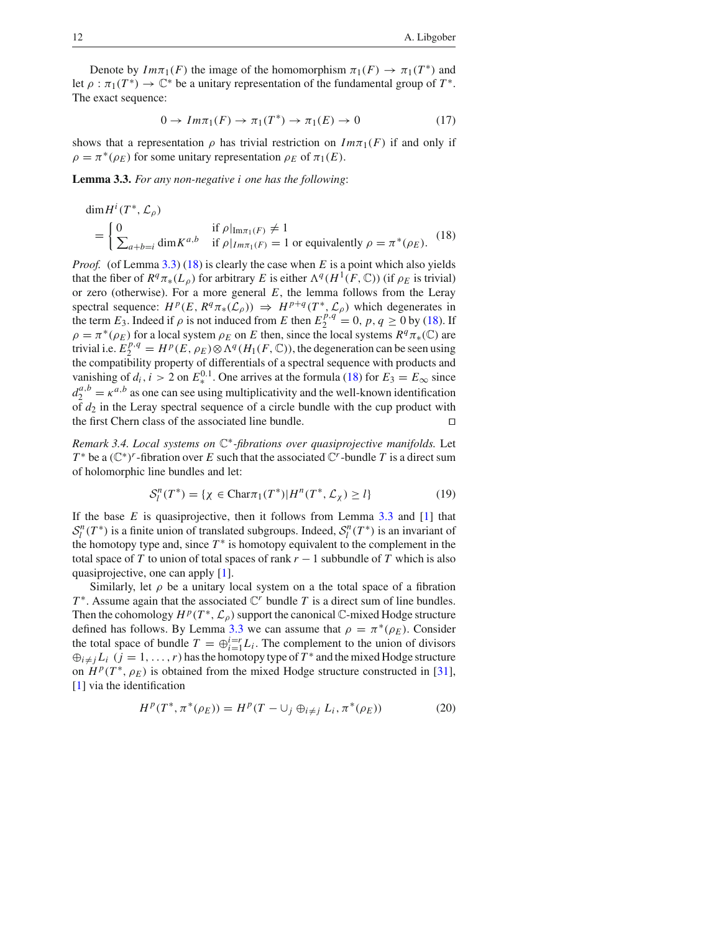Denote by  $Im \pi_1(F)$  the image of the homomorphism  $\pi_1(F) \to \pi_1(T^*)$  and let  $\rho : \pi_1(T^*) \to \mathbb{C}^*$  be a unitary representation of the fundamental group of  $T^*$ . The exact sequence:

$$
0 \to Im\pi_1(F) \to \pi_1(T^*) \to \pi_1(E) \to 0 \tag{17}
$$

shows that a representation  $\rho$  has trivial restriction on  $Im\pi_1(F)$  if and only if  $\rho = \pi^*(\rho_E)$  for some unitary representation  $\rho_E$  of  $\pi_1(E)$ .

**Lemma 3.3.** *For any non-negative i one has the following*:

$$
\dim H^{i}(T^{*}, \mathcal{L}_{\rho})
$$
\n
$$
= \begin{cases}\n0 & \text{if } \rho|_{\text{Im}\pi_{1}(F)} \neq 1 \\
\sum_{a+b=i} \dim K^{a,b} & \text{if } \rho|_{\text{Im}\pi_{1}(F)} = 1 \text{ or equivalently } \rho = \pi^{*}(\rho_{E}).\n\end{cases}
$$
\n
$$
(18)
$$

*Proof.* (of Lemma 3.3) (18) is clearly the case when *E* is a point which also yields that the fiber of  $R^q \pi_*(L_\rho)$  for arbitrary *E* is either  $\Lambda^q(H^1(F, \mathbb{C}))$  (if  $\rho_E$  is trivial) or zero (otherwise). For a more general  $E$ , the lemma follows from the Leray spectral sequence:  $H^p(E, R^q \pi_*(\mathcal{L}_\rho)) \Rightarrow H^{p+q}(T^*, \mathcal{L}_\rho)$  which degenerates in the term  $E_3$ . Indeed if  $\rho$  is not induced from *E* then  $E_2^{p,q} = 0$ ,  $p, q \ge 0$  by (18). If  $\rho = \pi^*(\rho_E)$  for a local system  $\rho_E$  on *E* then, since the local systems  $R^q\pi_*(\mathbb{C})$  are trivial i.e.  $E_2^{p,q} = H^p(E, \rho_E) \otimes \Lambda^q(H_1(F, \mathbb{C}))$ , the degeneration can be seen using the compatibility property of differentials of a spectral sequence with products and vanishing of  $d_i$ ,  $i > 2$  on  $E_*^{0.1}$ . One arrives at the formula (18) for  $E_3 = E_\infty$  since  $d_2^{a,b} = \kappa^{a,b}$  as one can see using multiplicativity and the well-known identification of  $d_2$  in the Leray spectral sequence of a circle bundle with the cup product with the first Chern class of the associated line bundle. □

*Remark 3.4. Local systems on* C∗*-fibrations over quasiprojective manifolds.* Let *T*<sup>\*</sup> be a  $(\mathbb{C}^*)^r$ -fibration over *E* such that the associated  $\mathbb{C}^r$ -bundle *T* is a direct sum of holomorphic line bundles and let:

$$
\mathcal{S}_l^n(T^*) = \{ \chi \in \text{Char}_{\mathcal{T}_1}(T^*) | H^n(T^*, \mathcal{L}_\chi) \ge l \}
$$
\n<sup>(19)</sup>

If the base *E* is quasiprojective, then it follows from Lemma 3.3 and [1] that  $S_l^n(T^*)$  is a finite union of translated subgroups. Indeed,  $S_l^n(T^*)$  is an invariant of the homotopy type and, since  $T^*$  is homotopy equivalent to the complement in the total space of *T* to union of total spaces of rank  $r - 1$  subbundle of *T* which is also quasiprojective, one can apply [1].

Similarly, let  $\rho$  be a unitary local system on a the total space of a fibration  $T^*$ . Assume again that the associated  $\mathbb{C}^r$  bundle *T* is a direct sum of line bundles. Then the cohomology  $H^p(T^*, \mathcal{L}_\rho)$  support the canonical C-mixed Hodge structure defined has follows. By Lemma 3.3 we can assume that  $\rho = \pi^*(\rho_E)$ . Consider the total space of bundle  $T = \bigoplus_{i=1}^{i=r} L_i$ . The complement to the union of divisors  $\bigoplus_{i \neq j} L_i$   $(j = 1, ..., r)$  has the homotopy type of  $T^*$  and the mixed Hodge structure on  $H^p(T^*, \rho_E)$  is obtained from the mixed Hodge structure constructed in [31], [1] via the identification

$$
H^{p}(T^{*}, \pi^{*}(\rho_{E})) = H^{p}(T - \cup_{j} \oplus_{i \neq j} L_{i}, \pi^{*}(\rho_{E}))
$$
 (20)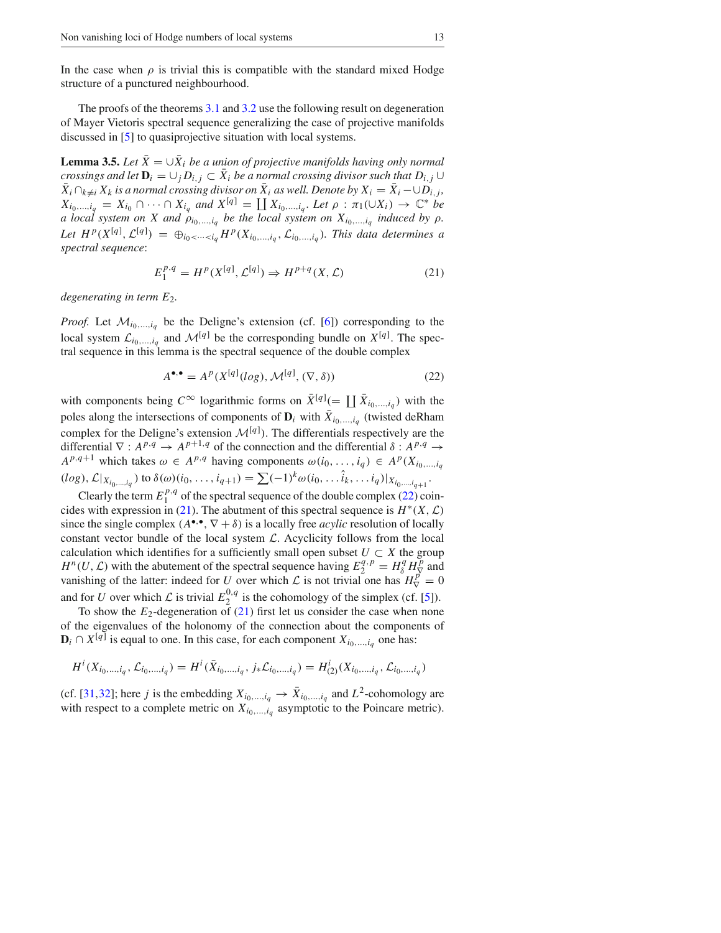In the case when  $\rho$  is trivial this is compatible with the standard mixed Hodge structure of a punctured neighbourhood.

The proofs of the theorems 3.1 and 3.2 use the following result on degeneration of Mayer Vietoris spectral sequence generalizing the case of projective manifolds discussed in [5] to quasiprojective situation with local systems.

**Lemma 3.5.** *Let*  $\bar{X} = \cup \bar{X}_i$  *be a union of projective manifolds having only normal crossings and let*  $D_i = \bigcup_i D_{i,i} \subset \overline{X}_i$  *be a normal crossing divisor such that*  $D_{i,i} \cup$  $\bar{X}_i \cap_{k \neq i} X_k$  *is a normal crossing divisor on*  $\bar{X}_i$  *as well. Denote by*  $X_i = \bar{X}_i - \cup D_{i,j}$ ,  $X_{i_0,...,i_q} = X_{i_0} \cap \cdots \cap X_{i_q}$  and  $X^{[q]} = \coprod X_{i_0,...,i_q}$ . Let  $\rho : \pi_1(\cup X_i) \to \mathbb{C}^*$  be *a* local system on X and  $\rho_{i_0,\dots,i_q}$  be the local system on  $X_{i_0,\dots,i_q}$  induced by  $\rho$ . Let  $H^p(X^{[q]}, \mathcal{L}^{[q]}) = \bigoplus_{i_0 < \dots < i_q} H^p(X_{i_0, \dots, i_q}, \mathcal{L}_{i_0, \dots, i_q})$ . This data determines a *spectral sequence*:

$$
E_1^{p,q} = H^p(X^{[q]}, \mathcal{L}^{[q]}) \Rightarrow H^{p+q}(X, \mathcal{L})
$$
\n<sup>(21)</sup>

*degenerating in term E*2*.*

*Proof.* Let  $\mathcal{M}_{i_0,\dots,i_q}$  be the Deligne's extension (cf. [6]) corresponding to the local system  $\mathcal{L}_{i_0,\dots,i_q}$  and  $\mathcal{M}^{[q]}$  be the corresponding bundle on  $X^{[q]}$ . The spectral sequence in this lemma is the spectral sequence of the double complex

$$
A^{\bullet,\bullet} = A^p(X^{[q]}(log), \mathcal{M}^{[q]}, (\nabla, \delta))
$$
\n(22)

with components being  $C^{\infty}$  logarithmic forms on  $\bar{X}^{[q]}$  (=  $\prod \bar{X}_{i_0,\dots,i_q}$ ) with the poles along the intersections of components of  $\mathbf{D}_i$  with  $\bar{X}_{i_0,\dots,i_q}$  (twisted deRham complex for the Deligne's extension  $\mathcal{M}^{[q]}$ ). The differentials respectively are the differential  $\nabla$  : *A*<sup>*p*</sup>,<sup>*q*</sup> → *A*<sup>*p*+1,*q*</sup> of the connection and the differential  $\delta$  : *A*<sup>*p*</sup>,*q* →  $A^{p,q+1}$  which takes  $\omega \in A^{p,q}$  having components  $\omega(i_0, \ldots, i_q) \in A^p(X_{i_0, \ldots, i_q})$  $(log), \mathcal{L}|_{X_{i_0,\dots,i_q}})$  to  $\delta(\omega)(i_0,\dots,i_{q+1}) = \sum (-1)^k \omega(i_0,\dots,\hat{i}_k,\dots,i_q)|_{X_{i_0,\dots,i_{q+1}}}.$ 

Clearly the term  $E_1^{p,q}$  of the spectral sequence of the double complex (22) coincides with expression in (21). The abutment of this spectral sequence is  $H^*(X, \mathcal{L})$ since the single complex  $(A^{\bullet,\bullet}, \nabla + \delta)$  is a locally free *acylic* resolution of locally constant vector bundle of the local system *L*. Acyclicity follows from the local calculation which identifies for a sufficiently small open subset  $U \subset X$  the group *H<sup>n</sup>*(*U*, *L*) with the abutement of the spectral sequence having  $E_2^{q,p} = H_8^q H_V^p$  and vanishing of the latter: indeed for *U* over which *L* is not trivial one has  $H_V^{\vec{p}} = 0$ and for *U* over which  $\mathcal L$  is trivial  $E_2^{0,q}$  is the cohomology of the simplex (cf. [5]).

To show the  $E_2$ -degeneration of  $(21)$  first let us consider the case when none of the eigenvalues of the holonomy of the connection about the components of  **is equal to one. In this case, for each component**  $X_{i_0,\,\ldots,i_q}$  **one has:** 

$$
H^{i}(X_{i_{0},...,i_{q}}, \mathcal{L}_{i_{0},...,i_{q}}) = H^{i}(\bar{X}_{i_{0},...,i_{q}}, j_{*}\mathcal{L}_{i_{0},...,i_{q}}) = H^{i}_{(2)}(X_{i_{0},...,i_{q}}, \mathcal{L}_{i_{0},...,i_{q}})
$$

(cf. [31,32]; here *j* is the embedding  $X_{i_0,\dots,i_q} \to \bar{X}_{i_0,\dots,i_q}$  and  $L^2$ -cohomology are with respect to a complete metric on  $X_{i_0,\ldots,i_q}$  asymptotic to the Poincare metric).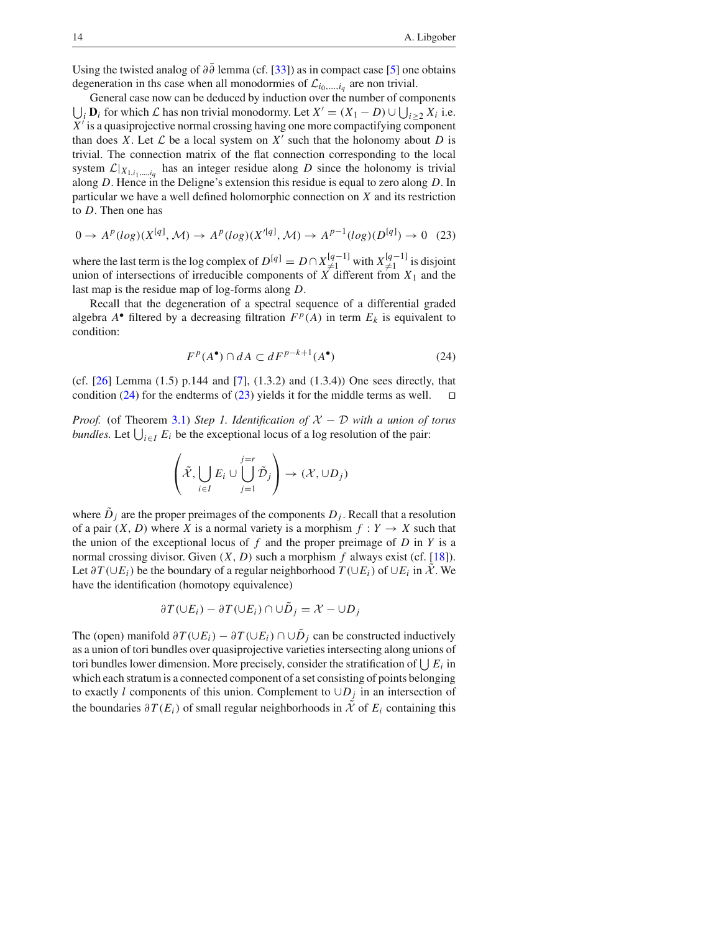Using the twisted analog of  $\partial \partial$  lemma (cf. [33]) as in compact case [5] one obtains degeneration in ths case when all monodormies of  $\mathcal{L}_{i_0,\dots,i_q}$  are non trivial.

 $\bigcup_i$  **D***i* for which *L* has non trivial monodormy. Let *X'* =  $(X_1 - D) \cup \bigcup_{i \ge 2} X_i$  i.e. General case now can be deduced by induction over the number of components *X*′ is a quasiprojective normal crossing having one more compactifying component than does *X*. Let  $\mathcal L$  be a local system on  $X'$  such that the holonomy about *D* is trivial. The connection matrix of the flat connection corresponding to the local system  $\mathcal{L}|_{X_{1,i_1,\dots,i_q}}$  has an integer residue along *D* since the holonomy is trivial along *D*. Hence in the Deligne's extension this residue is equal to zero along *D*. In particular we have a well defined holomorphic connection on *X* and its restriction to *D*. Then one has

$$
0 \to A^p(\log)(X^{[q]}, \mathcal{M}) \to A^p(\log)(X'^{[q]}, \mathcal{M}) \to A^{p-1}(\log)(D^{[q]}) \to 0 \quad (23)
$$

where the last term is the log complex of  $D^{[q]} = D \cap X_{\neq 1}^{\{q-1\}}$  with  $X_{\neq 1}^{\{q-1\}}$  is disjoint union of intersections of irreducible components of X different from  $X_1$  and the last map is the residue map of log-forms along *D*.

Recall that the degeneration of a spectral sequence of a differential graded algebra  $A^{\bullet}$  filtered by a decreasing filtration  $F^p(A)$  in term  $E_k$  is equivalent to condition:

$$
F^p(A^{\bullet}) \cap dA \subset dF^{p-k+1}(A^{\bullet})
$$
 (24)

(cf. [26] Lemma (1.5) p.144 and [7], (1.3.2) and (1.3.4)) One sees directly, that condition (24) for the endterms of (23) yields it for the middle terms as well.  $□$ 

*Proof.* (of Theorem 3.1) *Step 1. Identification of X* − *D with a union of torus bundles.* Let  $\bigcup_{i \in I} E_i$  be the exceptional locus of a log resolution of the pair:

$$
\left(\tilde{\mathcal{X}}, \bigcup_{i \in I} E_i \cup \bigcup_{j=1}^{j=r} \tilde{\mathcal{D}}_j\right) \to (\mathcal{X}, \cup D_j)
$$

where  $\ddot{D}_j$  are the proper preimages of the components  $D_j$ . Recall that a resolution of a pair  $(X, D)$  where X is a normal variety is a morphism  $f: Y \to X$  such that the union of the exceptional locus of  $f$  and the proper preimage of  $D$  in  $Y$  is a normal crossing divisor. Given  $(X, D)$  such a morphism  $f$  always exist (cf. [18]). Let  $\partial T(\cup E_i)$  be the boundary of a regular neighborhood  $T(\cup E_i)$  of  $\cup E_i$  in *X*. We have the identification (homotopy equivalence)

$$
\partial T(\cup E_i) - \partial T(\cup E_i) \cap \cup \tilde{D}_j = \mathcal{X} - \cup D_j
$$

The (open) manifold  $\partial T(\cup E_i) - \partial T(\cup E_i) \cap \cup \tilde{D}_i$  can be constructed inductively as a union of tori bundles over quasiprojective varieties intersecting along unions of tori bundles lower dimension. More precisely, consider the stratification of  $\bigcup E_i$  in which each stratum is a connected component of a set consisting of points belonging to exactly *l* components of this union. Complement to  $\cup D_j$  in an intersection of the boundaries  $\partial T(E_i)$  of small regular neighborhoods in  $\hat{\mathcal{X}}$  of  $E_i$  containing this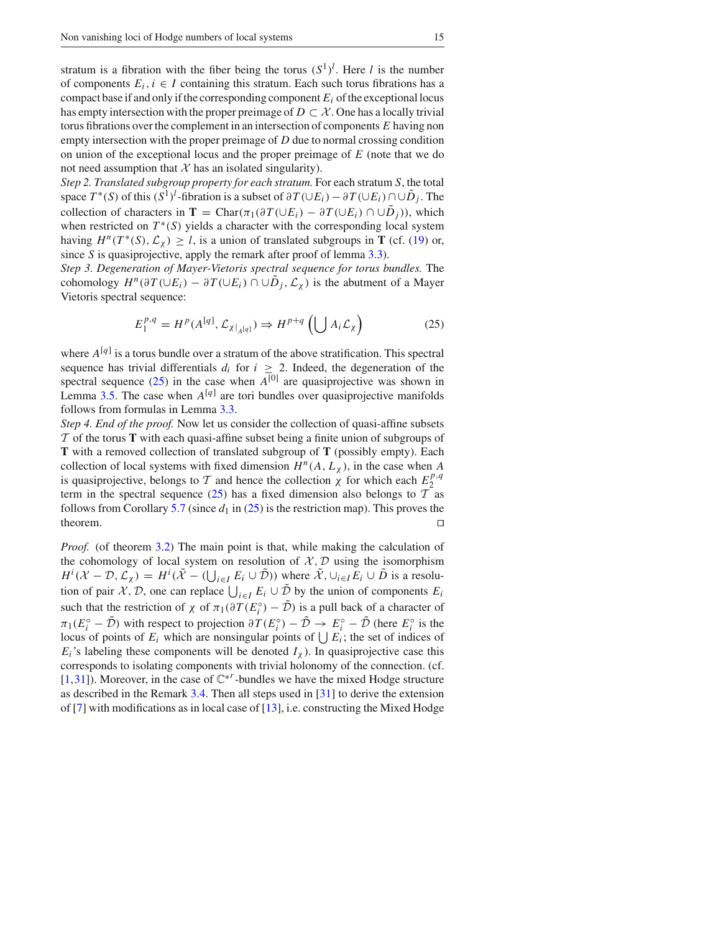stratum is a fibration with the fiber being the torus  $(S^1)^l$ . Here *l* is the number of components  $E_i$ ,  $i \in I$  containing this stratum. Each such torus fibrations has a compact base if and only if the corresponding component  $E_i$  of the exceptional locus has empty intersection with the proper preimage of  $D \subset \mathcal{X}$ . One has a locally trivial torus fibrations over the complement in an intersection of components *E* having non empty intersection with the proper preimage of *D* due to normal crossing condition on union of the exceptional locus and the proper preimage of *E* (note that we do not need assumption that  $X$  has an isolated singularity).

*Step 2. Translated subgroup property for each stratum.* For each stratum *S*, the total space  $T^*(S)$  of this  $(S^1)^l$ -fibration is a subset of  $\partial T(\cup E_i) - \partial T(\cup E_i) \cap \cup \tilde{D}_j$ . The collection of characters in **T** = Char $(\pi_1(\partial T(\cup E_i) - \partial T(\cup E_i) \cap \cup D_i))$ , which when restricted on  $T^*(S)$  yields a character with the corresponding local system having  $H^n(T^*(S), \mathcal{L}_\gamma) \geq l$ , is a union of translated subgroups in **T** (cf. (19) or, since *S* is quasiprojective, apply the remark after proof of lemma 3.3).

*Step 3. Degeneration of Mayer-Vietoris spectral sequence for torus bundles.* The cohomology  $H^n(\partial T(\cup E_i) - \partial T(\cup E_i) \cap \cup D_j, \mathcal{L}_{\chi})$  is the abutment of a Mayer Vietoris spectral sequence:

$$
E_1^{p,q} = H^p(A^{[q]}, \mathcal{L}_{\chi|_{A^{[q]}}}) \Rightarrow H^{p+q}(\bigcup A_i \mathcal{L}_{\chi})
$$
 (25)

where  $A^{[q]}$  is a torus bundle over a stratum of the above stratification. This spectral sequence has trivial differentials  $d_i$  for  $i \geq 2$ . Indeed, the degeneration of the spectral sequence  $(25)$  in the case when  $A^{[0]}$  are quasiprojective was shown in Lemma  $3.5$ . The case when  $A^{[q]}$  are tori bundles over quasiprojective manifolds follows from formulas in Lemma 3.3.

*Step 4. End of the proof.* Now let us consider the collection of quasi-affine subsets *T* of the torus **T** with each quasi-affine subset being a finite union of subgroups of **T** with a removed collection of translated subgroup of **T** (possibly empty). Each collection of local systems with fixed dimension  $H^n(A, L_\chi)$ , in the case when *A* is quasiprojective, belongs to *T* and hence the collection  $\chi$  for which each  $E_2^{p,q}$ term in the spectral sequence (25) has a fixed dimension also belongs to  $T$  as follows from Corollary 5.7 (since  $d_1$  in (25) is the restriction map). This proves the theorem. □

*Proof.* (of theorem 3.2) The main point is that, while making the calculation of the cohomology of local system on resolution of  $X, D$  using the isomorphism  $H^i(\mathcal{X} - \mathcal{D}, \mathcal{L}_{\chi}) = H^i(\tilde{\mathcal{X}} - (\bigcup_{i \in I} E_i \cup \tilde{\mathcal{D}}))$  where  $\tilde{\mathcal{X}}, \bigcup_{i \in I} E_i \cup \tilde{\mathcal{D}}$  is a resolution of pair *X*, *D*, one can replace  $\bigcup_{i \in I} E_i \cup \tilde{\mathcal{D}}$  by the union of components  $E_i$ such that the restriction of  $\chi$  of  $\pi_1(\partial T(E_i^{\circ}) - \mathcal{D})$  is a pull back of a character of  $\pi_1(E_i^{\circ} - D)$  with respect to projection  $\partial T(E_i^{\circ}) - D \to E_i^{\circ} - D$  (here  $E_i^{\circ}$  is the locus of points of  $E_i$  which are nonsingular points of  $\bigcup E_i$ ; the set of indices of  $E_i$ 's labeling these components will be denoted  $I_{\chi}$ ). In quasiprojective case this corresponds to isolating components with trivial holonomy of the connection. (cf. [1,31]). Moreover, in the case of C∗*<sup>r</sup>* -bundles we have the mixed Hodge structure as described in the Remark 3.4. Then all steps used in [31] to derive the extension of [7] with modifications as in local case of  $[13]$ , i.e. constructing the Mixed Hodge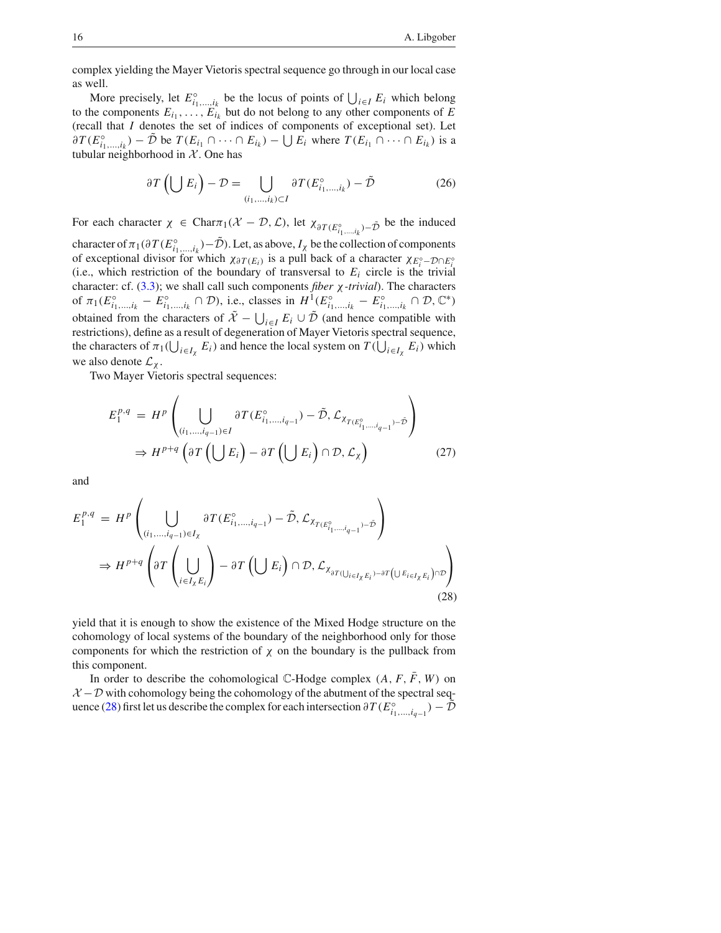complex yielding the Mayer Vietoris spectral sequence go through in our local case as well.

More precisely, let  $E^{\circ}_{i_1, \dots, i_k}$  be the locus of points of  $\bigcup_{i \in I} E_i$  which belong to the components  $E_{i_1}, \ldots, E_{i_k}$  but do not belong to any other components of *E* (recall that *I* denotes the set of indices of components of exceptional set). Let  $\partial T(E_{i_1,\dots,i_k}^{\circ}) - \tilde{\mathcal{D}}$  be  $T(E_{i_1} \cap \dots \cap E_{i_k}) - \bigcup E_i$  where  $T(E_{i_1} \cap \dots \cap E_{i_k})$  is a tubular neighborhood in  $X$ . One has

$$
\partial T\left(\bigcup E_i\right) - \mathcal{D} = \bigcup_{(i_1,\dots,i_k)\subset I} \partial T(E_{i_1,\dots,i_k}^{\circ}) - \tilde{\mathcal{D}} \tag{26}
$$

For each character  $\chi \in \text{Char}\pi_1(\mathcal{X} - \mathcal{D}, \mathcal{L})$ , let  $\chi_{\partial T(E_{i_1,\dots,i_k}^\circ) - \tilde{\mathcal{D}}}$  be the induced

character of  $\pi_1(\partial T(E_{i_1,...,i_k}^{\circ}) - \mathcal{D})$ . Let, as above,  $I_\chi$  be the collection of components of exceptional divisor for which  $\chi_{\partial T(E_i)}$  is a pull back of a character  $\chi_{E_i^{\circ}} - D \cap E_i^{\circ}$ (i.e., which restriction of the boundary of transversal to  $E_i$  circle is the trivial character: cf. (3.3); we shall call such components *fiber* χ*-trivial*). The characters of  $\pi_1(E_{i_1,\dots,i_k}^{\circ} - E_{i_1,\dots,i_k}^{\circ} \cap \mathcal{D})$ , i.e., classes in  $H^1(E_{i_1,\dots,i_k}^{\circ} - E_{i_1,\dots,i_k}^{\circ} \cap \mathcal{D}, \mathbb{C}^*)$ obtained from the characters of  $\tilde{X} - \bigcup_{i \in I} E_i \cup \tilde{D}$  (and hence compatible with restrictions), define as a result of degeneration of Mayer Vietoris spectral sequence, the characters of  $\pi_1(\bigcup_{i \in I_\chi} E_i)$  and hence the local system on  $T(\bigcup_{i \in I_\chi} E_i)$  which we also denote  $\mathcal{L}_{\chi}$ .

Two Mayer Vietoris spectral sequences:

$$
E_1^{p,q} = H^p \left( \bigcup_{(i_1,\dots,i_{q-1}) \in I} \partial T(E_{i_1,\dots,i_{q-1}}^{\circ}) - \tilde{\mathcal{D}}, \mathcal{L}_{\chi_{T(E_{i_1,\dots,i_{q-1}}^{\circ})} - \tilde{\mathcal{D}}} \right)
$$
  

$$
\Rightarrow H^{p+q} \left( \partial T \left( \bigcup E_i \right) - \partial T \left( \bigcup E_i \right) \cap \mathcal{D}, \mathcal{L}_{\chi} \right)
$$
(27)

and

$$
E_1^{p,q} = H^p \left( \bigcup_{(i_1, \dots, i_{q-1}) \in I_\chi} \partial T(E_{i_1, \dots, i_{q-1}}^\circ) - \tilde{\mathcal{D}}, \mathcal{L}_{X_{T(E_{i_1, \dots, i_{q-1}}^\circ) - \tilde{\mathcal{D}}}} \right)
$$
  
\n
$$
\Rightarrow H^{p+q} \left( \partial T \left( \bigcup_{i \in I_\chi E_i} \right) - \partial T \left( \bigcup E_i \right) \cap \mathcal{D}, \mathcal{L}_{X_{\partial T(\bigcup_{i \in I_\chi E_i}) - \partial T} \left( \bigcup E_{i \in I_\chi E_i} \right) \cap \mathcal{D}} \right)
$$
\n(28)

yield that it is enough to show the existence of the Mixed Hodge structure on the cohomology of local systems of the boundary of the neighborhood only for those components for which the restriction of  $\chi$  on the boundary is the pullback from this component.

In order to describe the cohomological  $\mathbb{C}$ -Hodge complex  $(A, F, \overline{F}, W)$  on  $\mathcal{X}-\mathcal{D}$  with cohomology being the cohomology of the abutment of the spectral sequence (28) first let us describe the complex for each intersection  $\partial T(E_{i_1,...,i_{q-1}}^{\circ}) - \mathcal{D}$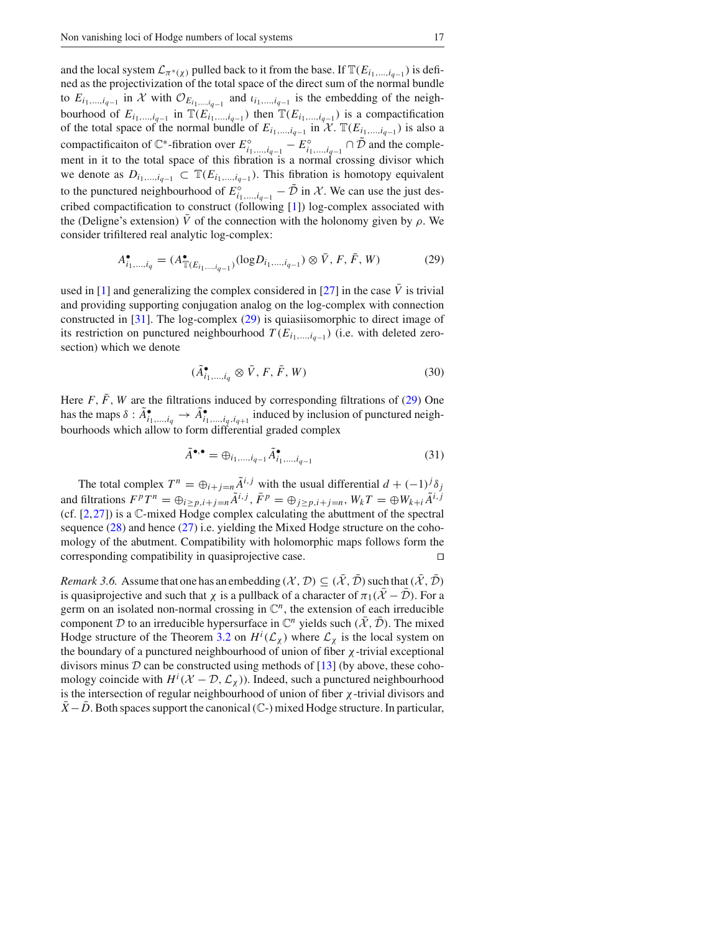and the local system  $\mathcal{L}_{\pi^*(\chi)}$  pulled back to it from the base. If  $\mathbb{T}(E_{i_1,\ldots,i_{q-1}})$  is defined as the projectivization of the total space of the direct sum of the normal bundle to  $E_{i_1,\dots,i_{q-1}}$  in *X* with  $\mathcal{O}_{E_{i_1,\dots,i_{q-1}}}$  and  $\iota_{i_1,\dots,i_{q-1}}$  is the embedding of the neighbourhood of  $E_{i_1,...,i_{q-1}}$  in  $\mathbb{T}(E_{i_1,...,i_{q-1}})$  then  $\mathbb{T}(E_{i_1,...,i_{q-1}})$  is a compactification of the total space of the normal bundle of  $E_{i_1,...,i_{q-1}}$  in  $\mathcal{X}$ .  $\mathbb{T}(E_{i_1,...,i_{q-1}})$  is also a compactificaiton of  $\mathbb{C}^*$ -fibration over  $E^{\circ}_{i_1,\dots,i_{q-1}} - E^{\circ}_{i_1,\dots,i_{q-1}} \cap \mathcal{D}$  and the complement in it to the total space of this fibration is a normal crossing divisor which we denote as  $D_{i_1,\ldots,i_{q-1}}$  ⊂  $\mathbb{T}(E_{i_1,\ldots,i_{q-1}})$ . This fibration is homotopy equivalent to the punctured neighbourhood of  $E^{\circ}_{i_1,\dots,i_{q-1}} - \mathcal{D}$  in *X*. We can use the just described compactification to construct (following [1]) log-complex associated with the (Deligne's extension)  $\overline{V}$  of the connection with the holonomy given by  $\rho$ . We consider trifiltered real analytic log-complex:

$$
A_{i_1,\dots,i_q}^{\bullet} = (A_{\mathbb{T}(E_{i_1,\dots,i_{q-1}})}^{\bullet}(\log D_{i_1,\dots,i_{q-1}}) \otimes \bar{V}, F, \bar{F}, W)
$$
(29)

used in [1] and generalizing the complex considered in [27] in the case  $\bar{V}$  is trivial and providing supporting conjugation analog on the log-complex with connection constructed in [31]. The log-complex (29) is quiasiisomorphic to direct image of its restriction on punctured neighbourhood  $T(E_{i_1,\ldots,i_{q-1}})$  (i.e. with deleted zerosection) which we denote

$$
(\tilde{A}_{i_1,\dots,i_q}^{\bullet} \otimes \bar{V}, F, \bar{F}, W) \tag{30}
$$

Here  $F$ ,  $\bar{F}$ ,  $W$  are the filtrations induced by corresponding filtrations of (29) One has the maps  $\delta : A^{\bullet}_{i_1,\dots,i_q} \to A^{\bullet}_{i_1,\dots,i_q,i_{q+1}}$  induced by inclusion of punctured neighbourhoods which allow to form differential graded complex

$$
\tilde{A}^{\bullet,\bullet} = \bigoplus_{i_1,\dots,i_{q-1}} \tilde{A}^{\bullet}_{i_1,\dots,i_{q-1}} \tag{31}
$$

The total complex  $T^n = \bigoplus_{i+j=n} \tilde{A}^{i,j}$  with the usual differential  $d + (-1)^j \delta_j$ and filtrations  $F^pT^n = \bigoplus_{i \geq p, i+j=n} \tilde{A}^{i,j}$ ,  $\bar{F}^p = \bigoplus_{j \geq p, i+j=n} W_kT = \bigoplus W_{k+i} \tilde{A}^{i,j}$ (cf.  $[2,27]$ ) is a  $\mathbb C$ -mixed Hodge complex calculating the abuttment of the spectral sequence  $(28)$  and hence  $(27)$  i.e. yielding the Mixed Hodge structure on the cohomology of the abutment. Compatibility with holomorphic maps follows form the corresponding compatibility in quasiprojective case. □

*Remark 3.6.* Assume that one has an embedding  $(X, \mathcal{D}) \subseteq (\overline{X}, \overline{\mathcal{D}})$  such that  $(\overline{X}, \overline{\mathcal{D}})$ is quasiprojective and such that *χ* is a pullback of a character of  $\pi_1(\overline{X} - \overline{D})$ . For a germ on an isolated non-normal crossing in  $\mathbb{C}^n$ , the extension of each irreducible component *D* to an irreducible hypersurface in  $\mathbb{C}^n$  yields such  $(\overline{\mathcal{X}}, \overline{\mathcal{D}})$ . The mixed Hodge structure of the Theorem 3.2 on  $H^i(\mathcal{L}_\chi)$  where  $\mathcal{L}_\chi$  is the local system on the boundary of a punctured neighbourhood of union of fiber  $\chi$ -trivial exceptional divisors minus  $D$  can be constructed using methods of  $[13]$  (by above, these cohomology coincide with  $H^i(\mathcal{X} - \mathcal{D}, \mathcal{L}_{\chi})$ ). Indeed, such a punctured neighbourhood is the intersection of regular neighbourhood of union of fiber  $\chi$ -trivial divisors and  $X$  − *D*. Both spaces support the canonical ( $\mathbb{C}$ -) mixed Hodge structure. In particular,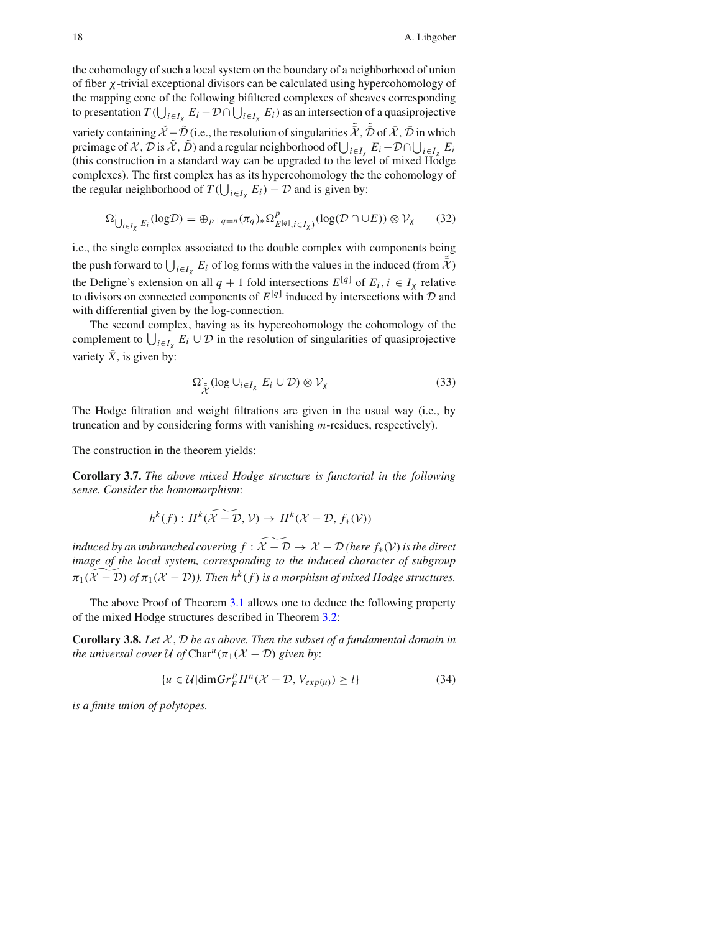the cohomology of such a local system on the boundary of a neighborhood of union of fiber χ-trivial exceptional divisors can be calculated using hypercohomology of the mapping cone of the following bifiltered complexes of sheaves corresponding to presentation  $T(\bigcup_{i\in I_\chi} E_i - \mathcal{D} \cap \bigcup_{i\in I_\chi} E_i)$  as an intersection of a quasiprojective variety containing  $\tilde{\mathcal{X}} - \tilde{\mathcal{D}}$  (i.e., the resolution of singularities  $\bar{\mathcal{X}}$ ,  $\bar{\mathcal{D}}$  of  $\bar{\mathcal{X}}$ ,  $\bar{\mathcal{D}}$  in which preimage of *X*,  $\mathcal{D}$  is  $\tilde{\mathcal{X}}$ ,  $\tilde{\mathcal{D}}$ ) and a regular neighborhood of  $\bigcup_{i \in I_X} E_i - \mathcal{D} \cap \bigcup_{i \in I_X} E_i$ (this construction in a standard way can be upgraded to the level of mixed  $H\hat{o}dge$ complexes). The first complex has as its hypercohomology the the cohomology of the regular neighborhood of  $T(\bigcup_{i \in I_{\chi}} E_i) - \mathcal{D}$  and is given by:

$$
\Omega'_{\bigcup_{i \in I_{\chi}} E_i}(\log \mathcal{D}) = \bigoplus_{p+q=n} (\pi_q)_* \Omega^p_{E^{\{q\}}, i \in I_{\chi})}(\log(\mathcal{D} \cap \cup E)) \otimes \mathcal{V}_{\chi}
$$
 (32)

i.e., the single complex associated to the double complex with components being the push forward to  $\bigcup_{i \in I_{\chi}} E_i$  of log forms with the values in the induced (from  $\bar{\chi}$ ) the Deligne's extension on all  $q + 1$  fold intersections  $E^{[q]}$  of  $E_i$ ,  $i \in I_\chi$  relative to divisors on connected components of  $E^{[q]}$  induced by intersections with  $D$  and with differential given by the log-connection.

The second complex, having as its hypercohomology the cohomology of the complement to  $\bigcup_{i \in I_\chi} E_i \cup \mathcal{D}$  in the resolution of singularities of quasiprojective variety  $\bar{X}$ , is given by:

$$
\Omega_{\tilde{\chi}} \left( \log \cup_{i \in I_{\chi}} E_i \cup \mathcal{D} \right) \otimes \mathcal{V}_{\chi} \tag{33}
$$

The Hodge filtration and weight filtrations are given in the usual way (i.e., by truncation and by considering forms with vanishing *m*-residues, respectively).

The construction in the theorem yields:

**Corollary 3.7.** *The above mixed Hodge structure is functorial in the following sense. Consider the homomorphism*:

$$
h^{k}(f): H^{k}(\widetilde{\mathcal{X}-\mathcal{D}}, \mathcal{V}) \to H^{k}(\mathcal{X}-\mathcal{D}, f_{*}(\mathcal{V}))
$$

*induced by an unbranched covering*  $f : \widetilde{X} - \mathcal{D} \rightarrow \mathcal{X} - \mathcal{D}$  *(here*  $f_*(\mathcal{V})$  *is the direct image of the local system, corresponding to the induced character of subgroup*  $\pi_1(\widetilde{\mathcal{X}} - \mathcal{D})$  *of*  $\pi_1(\mathcal{X} - \mathcal{D})$ *). Then h*<sup>k</sup> (*f*) *is a morphism of mixed Hodge structures.* 

The above Proof of Theorem 3.1 allows one to deduce the following property of the mixed Hodge structures described in Theorem 3.2:

**Corollary 3.8.** Let  $X$ ,  $D$  be as above. Then the subset of a fundamental domain in *the universal cover*  $U$  *of*  $Char<sup>u</sup>(\pi_1(X - D))$  *given by:* 

$$
\{u \in \mathcal{U} | \dim Gr_F^p H^n(\mathcal{X} - \mathcal{D}, V_{exp(u)}) \ge l\}
$$
\n(34)

*is a finite union of polytopes.*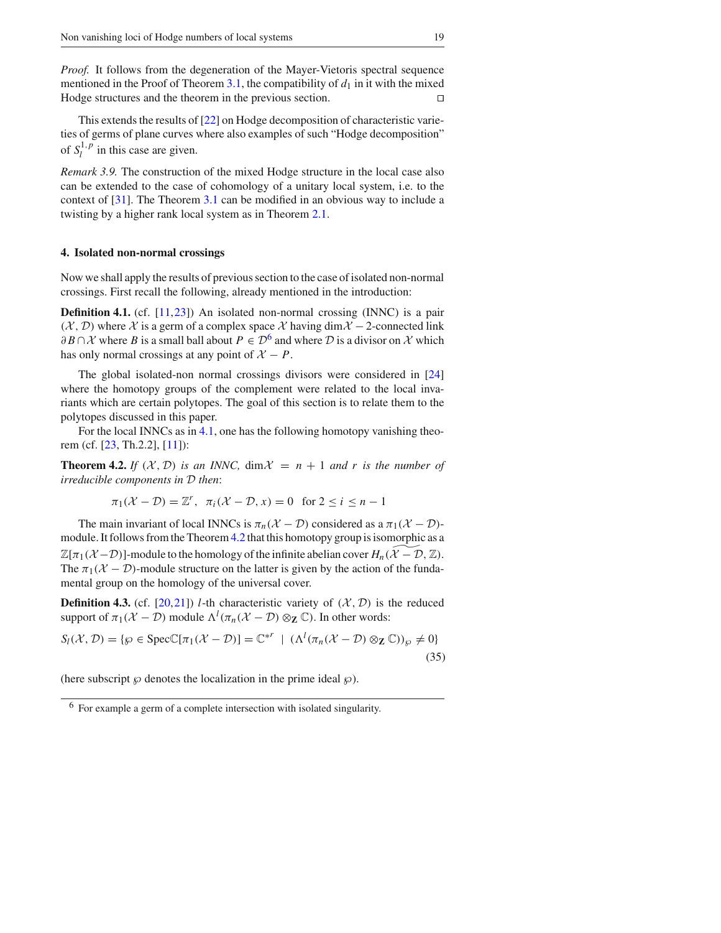*Proof.* It follows from the degeneration of the Mayer-Vietoris spectral sequence mentioned in the Proof of Theorem 3.1, the compatibility of  $d_1$  in it with the mixed Hodge structures and the theorem in the previous section. ⊓5

This extends the results of [22] on Hodge decomposition of characteristic varieties of germs of plane curves where also examples of such "Hodge decomposition" of  $S_l^{1,p}$  in this case are given.

*Remark 3.9.* The construction of the mixed Hodge structure in the local case also can be extended to the case of cohomology of a unitary local system, i.e. to the context of [31]. The Theorem 3.1 can be modified in an obvious way to include a twisting by a higher rank local system as in Theorem 2.1.

#### **4. Isolated non-normal crossings**

Now we shall apply the results of previous section to the case of isolated non-normal crossings. First recall the following, already mentioned in the introduction:

**Definition 4.1.** (cf. [11,23]) An isolated non-normal crossing (INNC) is a pair  $(X, D)$  where *X* is a germ of a complex space *X* having dim $X$  − 2-connected link  $\partial B \cap \mathcal{X}$  where *B* is a small ball about  $P \in \mathcal{D}^6$  and where  $\mathcal D$  is a divisor on  $\mathcal X$  which has only normal crossings at any point of  $X - P$ .

The global isolated-non normal crossings divisors were considered in [24] where the homotopy groups of the complement were related to the local invariants which are certain polytopes. The goal of this section is to relate them to the polytopes discussed in this paper.

For the local INNCs as in 4.1, one has the following homotopy vanishing theorem (cf. [23, Th.2.2], [11]):

**Theorem 4.2.** If  $(X, D)$  is an INNC,  $\dim \mathcal{X} = n + 1$  and r is the number of *irreducible components in D then*:

$$
\pi_1(\mathcal{X} - \mathcal{D}) = \mathbb{Z}^r, \quad \pi_i(\mathcal{X} - \mathcal{D}, x) = 0 \quad \text{for } 2 \le i \le n - 1
$$

The main invariant of local INNCs is  $\pi_n(\mathcal{X} - \mathcal{D})$  considered as a  $\pi_1(\mathcal{X} - \mathcal{D})$ module. It follows from the Theorem 4.2 that this homotopy group is isomorphic as a  $\mathbb{Z}[\pi_1(\mathcal{X}-\mathcal{D})]$ -module to the homology of the infinite abelian cover  $H_n(\mathcal{X}-\mathcal{D},\mathbb{Z})$ . The  $\pi_1(\mathcal{X} - \mathcal{D})$ -module structure on the latter is given by the action of the fundamental group on the homology of the universal cover.

**Definition 4.3.** (cf. [20,21]) *l*-th characteristic variety of  $(X, \mathcal{D})$  is the reduced support of  $\pi_1(\mathcal{X} - \mathcal{D})$  module  $\Lambda^l(\pi_n(\mathcal{X} - \mathcal{D}) \otimes_{\mathbf{Z}} \mathbb{C})$ . In other words:

$$
S_l(\mathcal{X}, \mathcal{D}) = \{ \wp \in \text{Spec} \mathbb{C}[\pi_1(\mathcal{X} - \mathcal{D})] = \mathbb{C}^{*r} \mid (\Lambda^l(\pi_n(\mathcal{X} - \mathcal{D}) \otimes_{\mathbf{Z}} \mathbb{C}))_{\wp} \neq 0 \}
$$
(35)

(here subscript  $\wp$  denotes the localization in the prime ideal  $\wp$ ).

<sup>6</sup> For example a germ of a complete intersection with isolated singularity.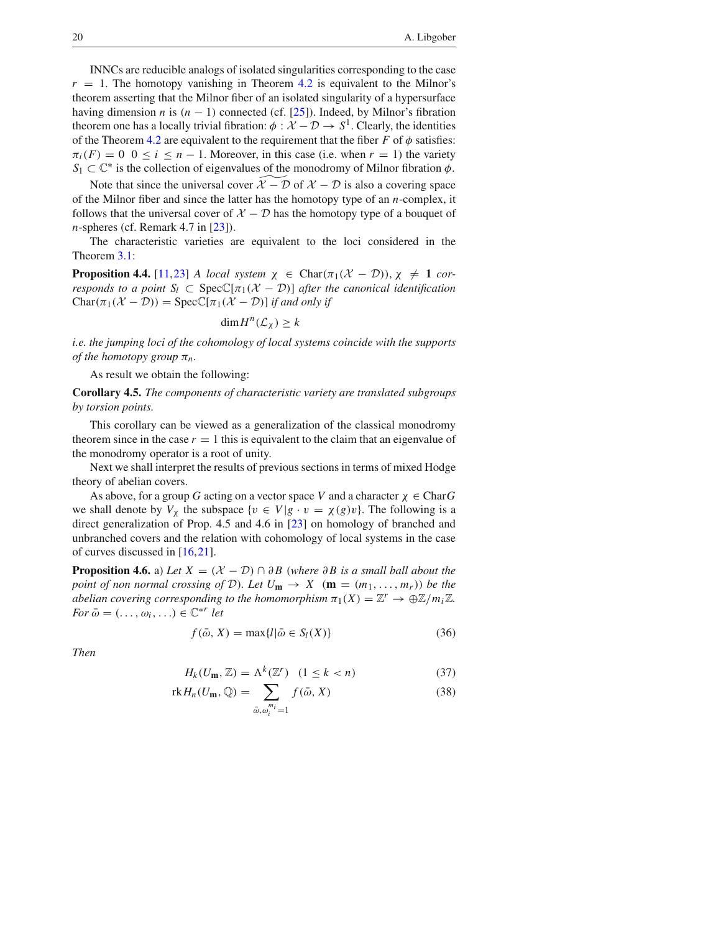INNCs are reducible analogs of isolated singularities corresponding to the case  $r = 1$ . The homotopy vanishing in Theorem 4.2 is equivalent to the Milnor's theorem asserting that the Milnor fiber of an isolated singularity of a hypersurface having dimension *n* is  $(n - 1)$  connected (cf. [25]). Indeed, by Milnor's fibration theorem one has a locally trivial fibration:  $\phi : \mathcal{X} - \mathcal{D} \to S^1$ . Clearly, the identities of the Theorem 4.2 are equivalent to the requirement that the fiber  $F$  of  $\phi$  satisfies:  $\pi_i(F) = 0$  0  $\le i \le n - 1$ . Moreover, in this case (i.e. when  $r = 1$ ) the variety  $S_1 \subset \mathbb{C}^*$  is the collection of eigenvalues of the monodromy of Milnor fibration  $\phi$ .

Note that since the universal cover  $\mathcal{X} - \mathcal{D}$  of  $\mathcal{X} - \mathcal{D}$  is also a covering space of the Milnor fiber and since the latter has the homotopy type of an *n*-complex, it follows that the universal cover of  $X - D$  has the homotopy type of a bouquet of *n*-spheres (cf. Remark 4.7 in [23]).

The characteristic varieties are equivalent to the loci considered in the Theorem 3.1:

**Proposition 4.4.** [11,23] *A local system*  $\chi \in \text{Char}(\pi_1(\mathcal{X} - \mathcal{D}))$ ,  $\chi \neq 1$  *corresponds to a point*  $S_l \subset \text{Spec} \mathbb{C}[\pi_1(\mathcal{X} - \mathcal{D})]$  *after the canonical identification*  $Char(\pi_1(\mathcal{X} - \mathcal{D})) = Spec\mathbb{C}[\pi_1(\mathcal{X} - \mathcal{D})]$  *if and only if* 

$$
\dim H^n(\mathcal{L}_\chi) \geq k
$$

*i.e. the jumping loci of the cohomology of local systems coincide with the supports of the homotopy group*  $\pi_n$ .

As result we obtain the following:

**Corollary 4.5.** *The components of characteristic variety are translated subgroups by torsion points.*

This corollary can be viewed as a generalization of the classical monodromy theorem since in the case  $r = 1$  this is equivalent to the claim that an eigenvalue of the monodromy operator is a root of unity.

Next we shall interpret the results of previous sections in terms of mixed Hodge theory of abelian covers.

As above, for a group *G* acting on a vector space *V* and a character  $\chi \in \text{Char}G$ we shall denote by  $V_\chi$  the subspace  $\{v \in V | g \cdot v = \chi(g)v\}$ . The following is a direct generalization of Prop. 4.5 and 4.6 in [23] on homology of branched and unbranched covers and the relation with cohomology of local systems in the case of curves discussed in [16,21].

**Proposition 4.6.** a) *Let*  $X = (X - D) \cap \partial B$  *(where*  $\partial B$  *is a small ball about the point of non normal crossing of D). Let*  $U_m \rightarrow X$  ( $m = (m_1, \ldots, m_r)$ ) *be the abelian covering corresponding to the homomorphism*  $\pi_1(X) = \mathbb{Z}^r \to \bigoplus \mathbb{Z}/m_i\mathbb{Z}$ .  $For \bar{\omega} = (\ldots, \omega_i, \ldots) \in \mathbb{C}^{*r}$  *let* 

$$
f(\bar{\omega}, X) = \max\{l|\bar{\omega} \in S_l(X)\}\tag{36}
$$

*Then*

$$
H_k(U_{\mathbf{m}}, \mathbb{Z}) = \Lambda^k(\mathbb{Z}^r) \quad (1 \le k < n) \tag{37}
$$

$$
\mathrm{rk}\,H_n(U_{\mathbf{m}},\mathbb{Q})=\sum_{\bar{\omega},\omega_i^{m_i}=1}f(\bar{\omega},X)\tag{38}
$$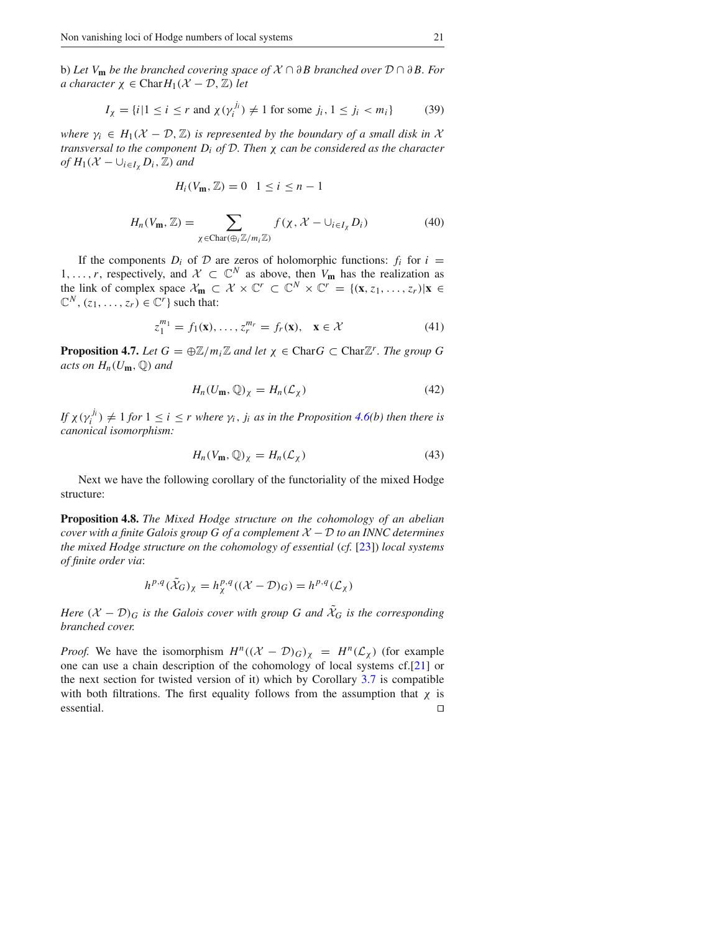b) *Let V***<sup>m</sup>** *be the branched covering space of X* ∩ ∂ *B branched over D* ∩ ∂ *B. For a character*  $\chi \in \text{Char} H_1(\mathcal{X} - \mathcal{D}, \mathbb{Z})$  *let* 

$$
I_{\chi} = \{i \mid 1 \le i \le r \text{ and } \chi(\gamma_i^{j_i}) \neq 1 \text{ for some } j_i, 1 \le j_i < m_i\} \tag{39}
$$

*where*  $\gamma_i \in H_1(\mathcal{X} - \mathcal{D}, \mathbb{Z})$  *is represented by the boundary of a small disk in*  $\mathcal{X}$ *transversal to the component Di of D. Then* χ *can be considered as the character of*  $H_1(\mathcal{X} - \bigcup_{i \in I_{\mathcal{X}}} D_i, \mathbb{Z})$  *and* 

$$
H_i(V_{\mathbf{m}},\mathbb{Z})=0 \quad 1\leq i\leq n-1
$$

$$
H_n(V_{\mathbf{m}}, \mathbb{Z}) = \sum_{\chi \in \text{Char}(\oplus_i \mathbb{Z}/m_i \mathbb{Z})} f(\chi, \mathcal{X} - \cup_{i \in I_{\chi}} D_i)
$$
(40)

If the components  $D_i$  of  $D$  are zeros of holomorphic functions:  $f_i$  for  $i =$ 1, ..., *r*, respectively, and *X* ⊂  $\mathbb{C}^N$  as above, then  $V_m$  has the realization as the link of complex space  $\mathcal{X}_m \subset \mathcal{X} \times \mathbb{C}^r \subset \mathbb{C}^N \times \mathbb{C}^r = \{(\mathbf{x}, z_1, \dots, z_r) | \mathbf{x} \in \mathbb{C}^N \times \mathbb{C}^r \times \mathbb{C}^r \times \mathbb{C}^r \times \mathbb{C}^r \times \mathbb{C}^r \times \mathbb{C}^r \times \mathbb{C}^r \times \mathbb{C}^r \times \mathbb{C}^r \times \mathbb{C}^r \times \mathbb{C}^r \times \mathbb$  $\mathbb{C}^N$ ,  $(z_1, \ldots, z_r) \in \mathbb{C}^r$  such that:

$$
z_1^{m_1} = f_1(\mathbf{x}), \dots, z_r^{m_r} = f_r(\mathbf{x}), \quad \mathbf{x} \in \mathcal{X}
$$
 (41)

**Proposition 4.7.** *Let*  $G = \bigoplus \mathbb{Z}/m_i\mathbb{Z}$  *and let*  $\chi \in \text{Char } G \subset \text{Char } \mathbb{Z}^r$ *. The group* G *acts on*  $H_n(U_m, \mathbb{Q})$  *and* 

$$
H_n(U_{\mathbf{m}}, \mathbb{Q})_\chi = H_n(\mathcal{L}_\chi)
$$
\n(42)

*If*  $\chi(\gamma_i^{j_i}) \neq 1$  *for*  $1 \leq i \leq r$  *where*  $\gamma_i$ *,*  $j_i$  *as in the Proposition* 4.6(*b*) *then there is canonical isomorphism:*

$$
H_n(V_{\mathbf{m}}, \mathbb{Q})_\chi = H_n(\mathcal{L}_\chi)
$$
\n(43)

Next we have the following corollary of the functoriality of the mixed Hodge structure:

**Proposition 4.8.** *The Mixed Hodge structure on the cohomology of an abelian cover with a finite Galois group G of a complement*  $X - D$  *to an INNC determines the mixed Hodge structure on the cohomology of essential (cf.* [23]) *local systems of finite order via*:

$$
h^{p,q}(\tilde{\mathcal{X}}_G)_{\chi} = h^{p,q}_{\chi}((\mathcal{X} - \mathcal{D})_G) = h^{p,q}(\mathcal{L}_{\chi})
$$

*Here*  $(X - D)$ <sup>*G*</sup> *is the Galois cover with group G and*  $\hat{X}_G$  *is the corresponding branched cover.*

*Proof.* We have the isomorphism  $H^n((X - \mathcal{D})_G)_\chi = H^n(\mathcal{L}_\chi)$  (for example one can use a chain description of the cohomology of local systems cf.[21] or the next section for twisted version of it) which by Corollary 3.7 is compatible with both filtrations. The first equality follows from the assumption that  $\chi$  is essential. ⊓5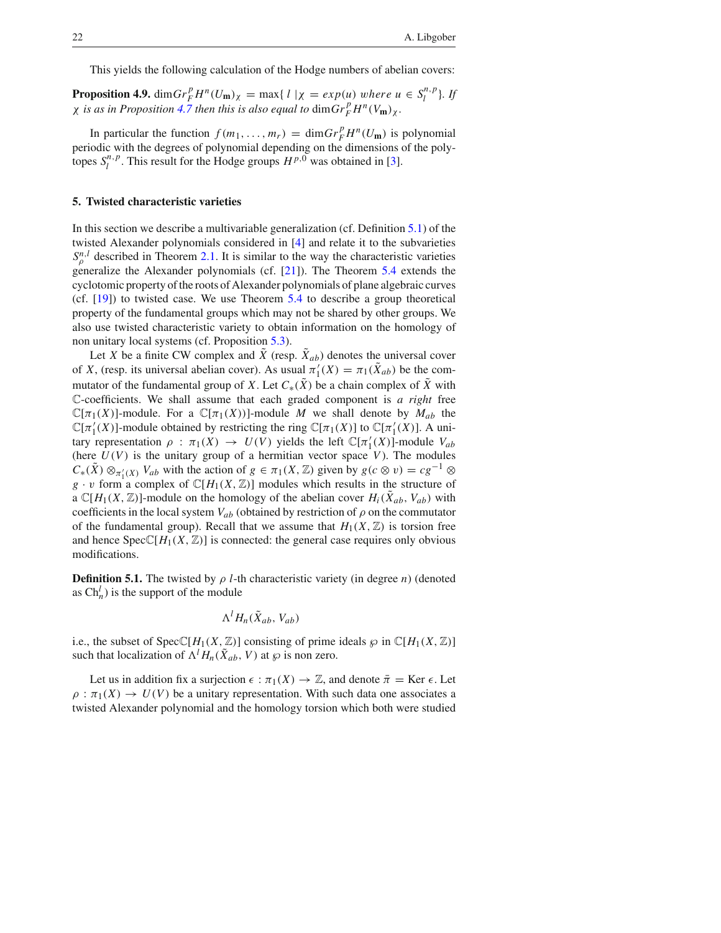This yields the following calculation of the Hodge numbers of abelian covers:

**Proposition 4.9.** dim $Gr_F^p H^n(U_{\mathbf{m}})_\chi = \max\{ l \mid \chi = exp(u) \text{ where } u \in S_l^{n,p} \}.$  If  $\chi$  *is as in Proposition 4.7 then this is also equal to*  $\dim Gr_F^p H^n(V_m)_{\chi}$ *.* 

In particular the function  $f(m_1, \ldots, m_r) = \dim Gr_F^p H^n(U_m)$  is polynomial periodic with the degrees of polynomial depending on the dimensions of the polytopes  $S_l^{n,p}$ . This result for the Hodge groups  $H^{p,0}$  was obtained in [3].

#### **5. Twisted characteristic varieties**

In this section we describe a multivariable generalization (cf. Definition 5.1) of the twisted Alexander polynomials considered in [4] and relate it to the subvarieties  $S_{\rho}^{n,l}$  described in Theorem 2.1. It is similar to the way the characteristic varieties generalize the Alexander polynomials (cf. [21]). The Theorem 5.4 extends the cyclotomic property of the roots of Alexander polynomials of plane algebraic curves (cf. [19]) to twisted case. We use Theorem 5.4 to describe a group theoretical property of the fundamental groups which may not be shared by other groups. We also use twisted characteristic variety to obtain information on the homology of non unitary local systems (cf. Proposition 5.3).

Let *X* be a finite CW complex and  $\tilde{X}$  (resp.  $\tilde{X}_{ab}$ ) denotes the universal cover of *X*, (resp. its universal abelian cover). As usual  $\pi'_1(X) = \pi_1(X_{ab})$  be the commutator of the fundamental group of *X*. Let  $C_*(\tilde{X})$  be a chain complex of  $\tilde{X}$  with C-coefficients. We shall assume that each graded component is *a right* free  $\mathbb{C}[\pi_1(X)]$ -module. For a  $\mathbb{C}[\pi_1(X)]$ -module *M* we shall denote by  $M_{ab}$  the  $\mathbb{C}[\pi_1'(X)]$ -module obtained by restricting the ring  $\mathbb{C}[\pi_1(X)]$  to  $\mathbb{C}[\pi_1'(X)]$ . A unitary representation  $\rho : \pi_1(X) \to U(V)$  yields the left  $\mathbb{C}[\pi'_1(X)]$ -module  $V_{ab}$ (here  $U(V)$  is the unitary group of a hermitian vector space  $V$ ). The modules  $C_*(\tilde{X}) \otimes_{\pi'_1(X)} V_{ab}$  with the action of  $g \in \pi_1(X, \mathbb{Z})$  given by  $g(c \otimes v) = cg^{-1} \otimes$  $g \cdot v$  form a complex of  $\mathbb{C}[H_1(X, \mathbb{Z})]$  modules which results in the structure of a  $\mathbb{C}[H_1(X,\mathbb{Z})]$ -module on the homology of the abelian cover  $H_i(X_{ab}, V_{ab})$  with coefficients in the local system  $V_{ab}$  (obtained by restriction of  $\rho$  on the commutator of the fundamental group). Recall that we assume that  $H_1(X, \mathbb{Z})$  is torsion free and hence  $SpecC[H_1(X, \mathbb{Z})]$  is connected: the general case requires only obvious modifications.

**Definition 5.1.** The twisted by  $\rho$  *l*-th characteristic variety (in degree *n*) (denoted as  $\text{Ch}_n^l$ ) is the support of the module

$$
\Lambda^l H_n(\tilde{X}_{ab}, V_{ab})
$$

i.e., the subset of  $SpecC[H_1(X, \mathbb{Z})]$  consisting of prime ideals  $\wp$  in  $C[H_1(X, \mathbb{Z})]$ such that localization of  $\Lambda^l H_n(\tilde{X}_{ab}, V)$  at  $\wp$  is non zero.

Let us in addition fix a surjection  $\epsilon : \pi_1(X) \to \mathbb{Z}$ , and denote  $\bar{\pi} = \text{Ker } \epsilon$ . Let  $\rho : \pi_1(X) \to U(V)$  be a unitary representation. With such data one associates a twisted Alexander polynomial and the homology torsion which both were studied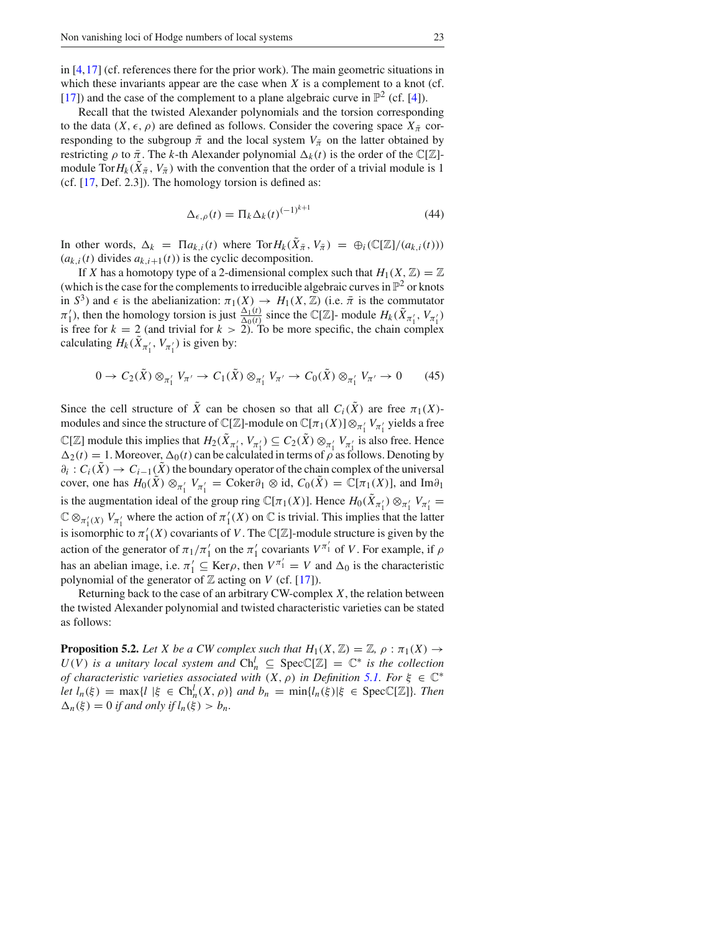in [4,17] (cf. references there for the prior work). The main geometric situations in which these invariants appear are the case when *X* is a complement to a knot (cf. [17]) and the case of the complement to a plane algebraic curve in  $\mathbb{P}^2$  (cf. [4]).

Recall that the twisted Alexander polynomials and the torsion corresponding to the data  $(X, \epsilon, \rho)$  are defined as follows. Consider the covering space  $X_{\overline{x}}$  corresponding to the subgroup  $\bar{\pi}$  and the local system  $V_{\bar{\pi}}$  on the latter obtained by restricting  $\rho$  to  $\bar{\pi}$ . The *k*-th Alexander polynomial  $\Delta_k(t)$  is the order of the C[Z]module Tor $H_k(\bar{X}_{\bar{\pi}}, V_{\bar{\pi}})$  with the convention that the order of a trivial module is 1 (cf. [17, Def. 2.3]). The homology torsion is defined as:

$$
\Delta_{\epsilon,\rho}(t) = \Pi_k \Delta_k(t)^{(-1)^{k+1}} \tag{44}
$$

In other words,  $\Delta_k = \Pi a_{k,i}(t)$  where  $\text{Tor} H_k(\tilde{X}_{\bar{\pi}}, V_{\bar{\pi}}) = \bigoplus_i (\mathbb{C}[\mathbb{Z}]/(a_{k,i}(t)))$  $(a_{k,i}(t)$  divides  $a_{k,i+1}(t)$  is the cyclic decomposition.

If *X* has a homotopy type of a 2-dimensional complex such that  $H_1(X, \mathbb{Z}) = \mathbb{Z}$ (which is the case for the complements to irreducible algebraic curves in  $\mathbb{P}^2$  or knots in  $S^3$ ) and  $\epsilon$  is the abelianization:  $\pi_1(X) \to H_1(X, \mathbb{Z})$  (i.e.  $\bar{\pi}$  is the commutator  $\pi'_1$ , then the homology torsion is just  $\frac{\Delta_1(t)}{\Delta_0(t)}$  since the C[Z]- module  $H_k(\tilde{X}_{\pi'_1}, V_{\pi'_1})$ is free for  $k = 2$  (and trivial for  $k > 2$ ). To be more specific, the chain complex calculating  $H_k(\tilde{X}_{\pi'_1}, V_{\pi'_1})$  is given by:

$$
0 \to C_2(\tilde{X}) \otimes_{\pi'_1} V_{\pi'} \to C_1(\tilde{X}) \otimes_{\pi'_1} V_{\pi'} \to C_0(\tilde{X}) \otimes_{\pi'_1} V_{\pi'} \to 0 \tag{45}
$$

Since the cell structure of  $\tilde{X}$  can be chosen so that all  $C_i(\tilde{X})$  are free  $\pi_1(X)$ modules and since the structure of  $\mathbb{C}[\mathbb{Z}]$ -module on  $\mathbb{C}[\pi_1(X)] \otimes_{\pi'_1} V_{\pi'_1}$  yields a free  $\mathbb{C}[\mathbb{Z}]$  module this implies that  $H_2(\bar{X}_{\pi'_1}, V_{\pi'_1}) \subseteq C_2(\bar{X}) \otimes_{\pi'_1} V_{\pi'_1}$  is also free. Hence  $\Delta_2(t) = 1$ . Moreover,  $\Delta_0(t)$  can be calculated in terms of  $\rho$  as follows. Denoting by  $\partial_i$  :  $C_i(\bar{X}) \to C_{i-1}(\bar{X})$  the boundary operator of the chain complex of the universal cover, one has  $H_0(\tilde{X}) \otimes_{\pi'_1} V_{\pi'_1} = \text{Coker}\partial_1 \otimes \text{id}, C_0(\tilde{X}) = \mathbb{C}[\pi_1(X)]$ , and  $\text{Im}\partial_1$ is the augmentation ideal of the group ring  $\mathbb{C}[\pi_1(X)]$ . Hence  $H_0(X_{\pi'_1}) \otimes_{\pi'_1} V_{\pi'_1} =$  $\mathbb{C} \otimes_{\pi'_1(X)} V_{\pi'_1}$  where the action of  $\pi'_1(X)$  on  $\mathbb{C}$  is trivial. This implies that the latter is isomorphic to  $\pi'_1(X)$  covariants of *V*. The C[Z]-module structure is given by the action of the generator of  $\pi_1/\pi'_1$  on the  $\pi'_1$  covariants  $V^{\pi'_1}$  of *V*. For example, if  $\rho$ has an abelian image, i.e.  $\pi'_1 \subseteq \text{Ker}\rho$ , then  $V^{\pi'_1} = V$  and  $\Delta_0$  is the characteristic polynomial of the generator of  $\mathbb Z$  acting on *V* (cf. [17]).

Returning back to the case of an arbitrary CW-complex *X*, the relation between the twisted Alexander polynomial and twisted characteristic varieties can be stated as follows:

**Proposition 5.2.** Let X be a CW complex such that  $H_1(X, \mathbb{Z}) = \mathbb{Z}$ ,  $\rho : \pi_1(X) \rightarrow$  $U(V)$  *is a unitary local system and*  $Ch_n^l \subseteq Spec\mathbb{C}[\mathbb{Z}] = \mathbb{C}^*$  *is the collection of characteristic varieties associated with*  $(X, \rho)$  *in Definition* 5.1. For  $\xi \in \mathbb{C}^*$ *let*  $l_n(\xi) = \max\{l \mid \xi \in \text{Ch}_n^l(X, \rho)\}$  *and*  $b_n = \min\{l_n(\xi) | \xi \in \text{Spec} \mathbb{C}[\mathbb{Z}]\}$ *. Then*  $\Delta_n(\xi) = 0$  *if and only if*  $l_n(\xi) > b_n$ .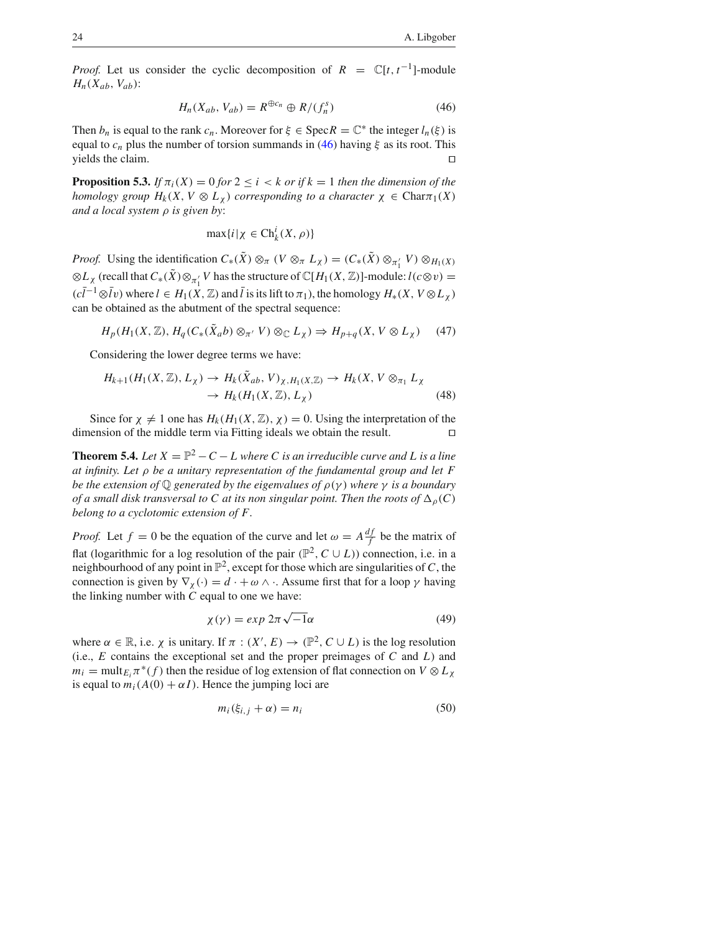*Proof.* Let us consider the cyclic decomposition of  $R = \mathbb{C}[t, t^{-1}]$ -module  $H_n(X_{ab}, V_{ab})$ :

$$
H_n(X_{ab}, V_{ab}) = R^{\oplus c_n} \oplus R/(f_n^s)
$$
\n(46)

Then  $b_n$  is equal to the rank  $c_n$ . Moreover for  $\xi \in \text{Spec } R = \mathbb{C}^*$  the integer  $l_n(\xi)$  is equal to  $c_n$  plus the number of torsion summands in (46) having  $\xi$  as its root. This yields the claim. □

**Proposition 5.3.** *If*  $\pi_i(X) = 0$  *for*  $2 \leq i \leq k$  *or if*  $k = 1$  *then the dimension of the homology group*  $H_k(X, V \otimes L_\gamma)$  *corresponding to a character*  $\chi \in \text{Char}_{\mathcal{T}_1}(X)$ *and a local system* ρ *is given by*:

$$
\max\{i\,|\,\chi\,\in\text{Ch}_k^i(X,\,\rho)\}
$$

*Proof.* Using the identification  $C_*(X) \otimes_{\pi} (V \otimes_{\pi} L_X) = (C_*(X) \otimes_{\pi'_1} V) \otimes_{H_1(X)}$  $\otimes L_X$  (recall that  $C_*(X) \otimes_{\pi'_1} V$  has the structure of  $\mathbb{C}[H_1(X, \mathbb{Z})]$ -module:  $l(c \otimes v)$  =  $(c\bar{l}^{-1}\otimes\bar{l}v)$  where  $l \in H_1(X,\mathbb{Z})$  and  $\bar{l}$  is its lift to  $\pi_1$ ), the homology  $H_*(X, V \otimes L_X)$ can be obtained as the abutment of the spectral sequence:

$$
H_p(H_1(X, \mathbb{Z}), H_q(C_*(\tilde{X}_a b) \otimes_{\pi'} V) \otimes_{\mathbb{C}} L_\chi) \Rightarrow H_{p+q}(X, V \otimes L_\chi) \tag{47}
$$

Considering the lower degree terms we have:

$$
H_{k+1}(H_1(X,\mathbb{Z}),L_X) \to H_k(\tilde{X}_{ab},V)_{\chi,H_1(X,\mathbb{Z})} \to H_k(X,V \otimes_{\pi_1} L_X
$$
  

$$
\to H_k(H_1(X,\mathbb{Z}),L_X)
$$
 (48)

Since for  $\chi \neq 1$  one has  $H_k(H_1(X, \mathbb{Z}), \chi) = 0$ . Using the interpretation of the nension of the middle term via Fitting ideals we obtain the result. dimension of the middle term via Fitting ideals we obtain the result. ⊓5

**Theorem 5.4.** *Let*  $X = \mathbb{P}^2 - C - L$  *where C is an irreducible curve and L is a line at infinity. Let* ρ *be a unitary representation of the fundamental group and let F be the extension of*  $\mathbb Q$  *generated by the eigenvalues of*  $\rho(\gamma)$  *where*  $\gamma$  *is a boundary of a small disk transversal to C at its non singular point. Then the roots of*  $\Delta_{\rho}(C)$ *belong to a cyclotomic extension of F.*

*Proof.* Let  $f = 0$  be the equation of the curve and let  $\omega = A \frac{df}{f}$  be the matrix of flat (logarithmic for a log resolution of the pair  $(\mathbb{P}^2, C \cup L)$ ) connection, i.e. in a neighbourhood of any point in  $\mathbb{P}^2$ , except for those which are singularities of *C*, the connection is given by  $\nabla_{\chi}(\cdot) = d \cdot + \omega \wedge \cdot$ . Assume first that for a loop  $\gamma$  having the linking number with *C* equal to one we have:

$$
\chi(\gamma) = \exp 2\pi \sqrt{-1}\alpha \tag{49}
$$

where  $\alpha \in \mathbb{R}$ , i.e.  $\chi$  is unitary. If  $\pi : (X', E) \to (\mathbb{P}^2, C \cup L)$  is the log resolution (i.e., *E* contains the exceptional set and the proper preimages of *C* and *L*) and  $m_i = \text{mult}_{E_i} \pi^*(f)$  then the residue of log extension of flat connection on  $V \otimes L_{\chi}$ is equal to  $m_i(A(0) + \alpha I)$ . Hence the jumping loci are

$$
m_i(\xi_{i,j} + \alpha) = n_i \tag{50}
$$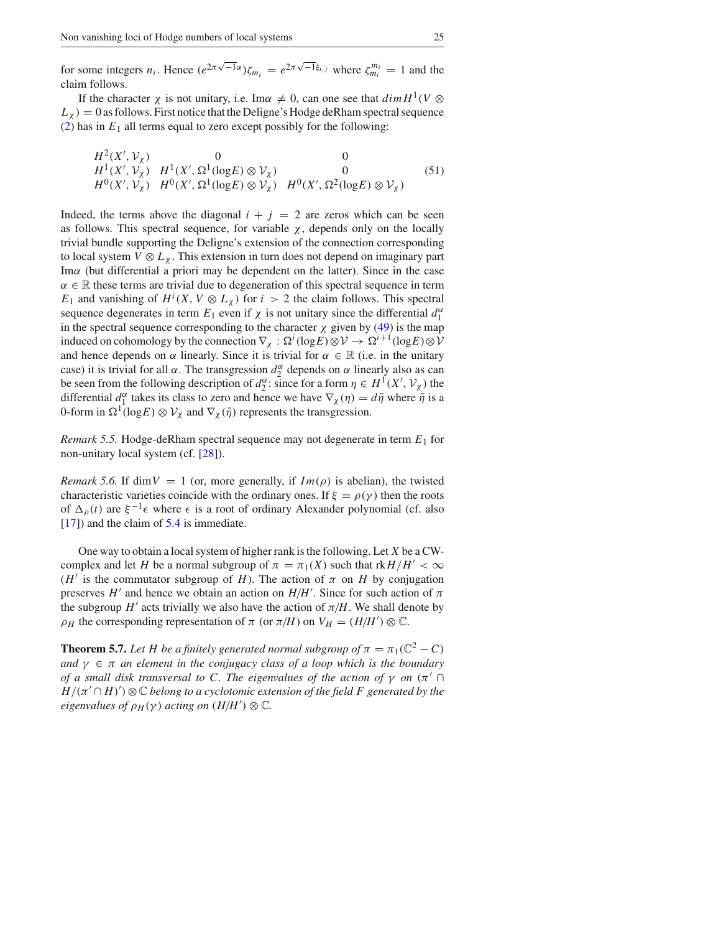for some integers  $n_i$ . Hence  $(e^{2\pi\sqrt{-1}\alpha})\zeta_{m_i} = e^{2\pi\sqrt{-1}\xi_{i,j}}$  where  $\zeta_{m_i}^{m_i} = 1$  and the claim follows.

If the character  $\chi$  is not unitary, i.e. Im $\alpha \neq 0$ , can one see that  $\dim H^1(V \otimes$  $L_{\chi}$ ) = 0 as follows. First notice that the Deligne's Hodge deRham spectral sequence (2) has in  $E_1$  all terms equal to zero except possibly for the following:

$$
H^2(X',\mathcal{V}_\chi) \n\begin{array}{ccc}\n0 & 0 & 0 \\
H^1(X',\mathcal{V}_\chi) & H^1(X',\Omega^1(\log E) \otimes \mathcal{V}_\chi) & 0 \\
H^0(X',\mathcal{V}_\chi) & H^0(X',\Omega^1(\log E) \otimes \mathcal{V}_\chi) & H^0(X',\Omega^2(\log E) \otimes \mathcal{V}_\chi)\n\end{array} \n\tag{51}
$$

Indeed, the terms above the diagonal  $i + j = 2$  are zeros which can be seen as follows. This spectral sequence, for variable  $\chi$ , depends only on the locally trivial bundle supporting the Deligne's extension of the connection corresponding to local system  $V \otimes L_{\chi}$ . This extension in turn does not depend on imaginary part Imα (but differential a priori may be dependent on the latter). Since in the case  $\alpha \in \mathbb{R}$  these terms are trivial due to degeneration of this spectral sequence in term *E*<sub>1</sub> and vanishing of  $H^i(X, V \otimes L_X)$  for  $i > 2$  the claim follows. This spectral sequence degenerates in term  $E_1$  even if  $\chi$  is not unitary since the differential  $d_1^{\alpha}$ in the spectral sequence corresponding to the character  $\chi$  given by (49) is the map induced on cohomology by the connection  $\nabla_{\chi}: \Omega^{i}(\log E) \otimes V \to \Omega^{i+1}(\log E) \otimes V$ and hence depends on  $\alpha$  linearly. Since it is trivial for  $\alpha \in \mathbb{R}$  (i.e. in the unitary case) it is trivial for all  $\alpha$ . The transgression  $d_2^{\alpha}$  depends on  $\alpha$  linearly also as can be seen from the following description of  $d_2^{\alpha}$ : since for a form  $\eta \in H^1(X', \mathcal{V}_\chi)$  the differential  $d_1^{\alpha}$  takes its class to zero and hence we have  $\nabla_{\chi}(\eta) = d\bar{\eta}$  where  $\bar{\eta}$  is a 0-form in  $\Omega^1(\log E) \otimes V_\chi$  and  $\nabla_\chi(\bar{\eta})$  represents the transgression.

*Remark 5.5.* Hodge-deRham spectral sequence may not degenerate in term *E*<sup>1</sup> for non-unitary local system (cf. [28]).

*Remark 5.6.* If dim  $V = 1$  (or, more generally, if  $Im(\rho)$  is abelian), the twisted characteristic varieties coincide with the ordinary ones. If  $\xi = \rho(\gamma)$  then the roots of  $\Delta_{\rho}(t)$  are  $\xi^{-1}\epsilon$  where  $\epsilon$  is a root of ordinary Alexander polynomial (cf. also [17]) and the claim of 5.4 is immediate.

One way to obtain a local system of higher rank is the following. Let *X* be a CWcomplex and let *H* be a normal subgroup of  $\pi = \pi_1(X)$  such that  $rkH/H' < \infty$ ( $H'$  is the commutator subgroup of *H*). The action of  $\pi$  on *H* by conjugation preserves *H'* and hence we obtain an action on  $H/H'$ . Since for such action of  $\pi$ the subgroup  $H'$  acts trivially we also have the action of  $\pi/H$ . We shall denote by  $\rho_H$  the corresponding representation of  $\pi$  (or  $\pi/H$ ) on  $V_H = (H/H') \otimes \mathbb{C}$ .

**Theorem 5.7.** Let H be a finitely generated normal subgroup of  $\pi = \pi_1(\mathbb{C}^2 - C)$ *and*  $\gamma \in \pi$  *an element in the conjugacy class of a loop which is the boundary of a small disk transversal to C. The eigenvalues of the action of*  $\gamma$  *on*  $(\pi')$ *H/(*π′ ∩ *H)*′ *)* ⊗ C *belong to a cyclotomic extension of the field F generated by the eigenvalues of*  $\rho$ <sub>*H*</sub>( $\gamma$ ) *acting on*  $(H/H') \otimes \mathbb{C}$ *.*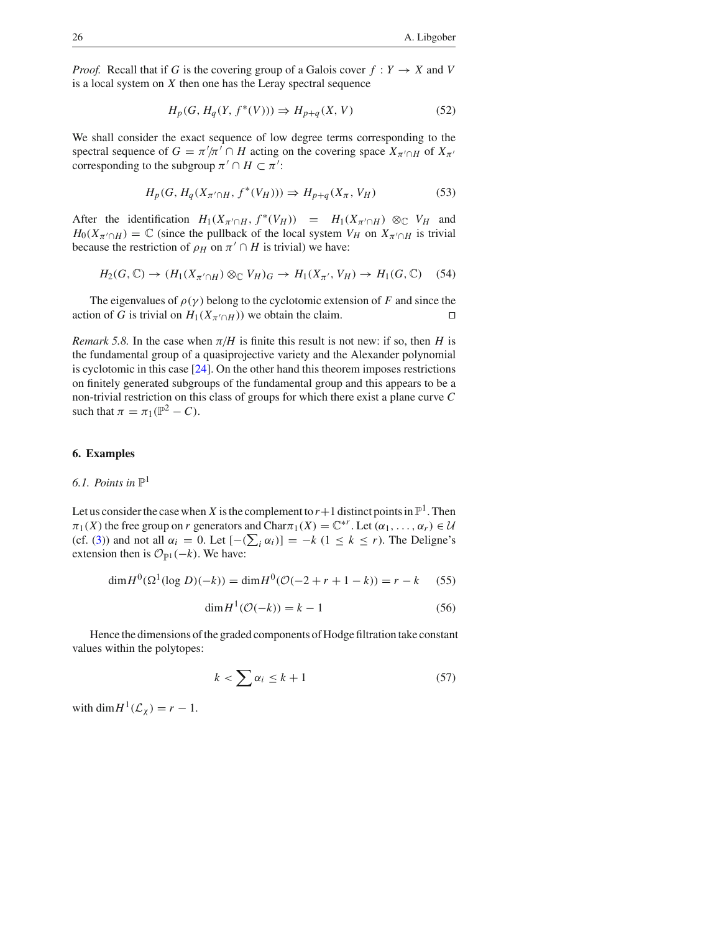*Proof.* Recall that if *G* is the covering group of a Galois cover  $f: Y \to X$  and *V* is a local system on *X* then one has the Leray spectral sequence

$$
H_p(G, H_q(Y, f^*(V))) \Rightarrow H_{p+q}(X, V) \tag{52}
$$

We shall consider the exact sequence of low degree terms corresponding to the spectral sequence of  $G = \pi'/\pi' \cap H$  acting on the covering space  $X_{\pi' \cap H}$  of  $X_{\pi}$ corresponding to the subgroup  $\pi' \cap H \subset \pi'$ :

$$
H_p(G, H_q(X_{\pi' \cap H}, f^*(V_H))) \Rightarrow H_{p+q}(X_{\pi}, V_H)
$$
\n
$$
\tag{53}
$$

After the identification  $H_1(X_{\pi'\cap H}, f^*(V_H)) = H_1(X_{\pi'\cap H}) \otimes_{\mathbb{C}} V_H$  and  $H_0(X_{\pi'\cap H}) = \mathbb{C}$  (since the pullback of the local system  $V_H$  on  $X_{\pi'\cap H}$  is trivial because the restriction of  $\rho_H$  on  $\pi' \cap H$  is trivial) we have:

$$
H_2(G, \mathbb{C}) \to (H_1(X_{\pi' \cap H}) \otimes_{\mathbb{C}} V_H)_{G} \to H_1(X_{\pi'}, V_H) \to H_1(G, \mathbb{C}) \tag{54}
$$

The eigenvalues of  $\rho(\gamma)$  belong to the cyclotomic extension of *F* and since the action of *G* is trivial on  $H_1(X_{\pi' \cap H})$  we obtain the claim. □

*Remark 5.8.* In the case when  $\pi/H$  is finite this result is not new: if so, then *H* is the fundamental group of a quasiprojective variety and the Alexander polynomial is cyclotomic in this case [24]. On the other hand this theorem imposes restrictions on finitely generated subgroups of the fundamental group and this appears to be a non-trivial restriction on this class of groups for which there exist a plane curve *C* such that  $\pi = \pi_1(\mathbb{P}^2 - C)$ .

#### **6. Examples**

# 6.1. Points in  $\mathbb{P}^1$

Let us consider the case when *X* is the complement to  $r+1$  distinct points in  $\mathbb{P}^1$ . Then  $\pi_1(X)$  the free group on *r* generators and Char $\pi_1(X) = \mathbb{C}^{*r}$ . Let  $(\alpha_1, \ldots, \alpha_r) \in \mathcal{U}$ (cf. (3)) and not all  $\alpha_i = 0$ . Let  $[-(\sum_i \alpha_i)] = -k (1 \le k \le r)$ . The Deligne's extension then is  $\mathcal{O}_{\mathbb{P}^1}(-k)$ . We have:

$$
\dim H^0(\Omega^1(\log D)(-k)) = \dim H^0(\mathcal{O}(-2+r+1-k)) = r - k \tag{55}
$$

$$
\dim H^1(\mathcal{O}(-k)) = k - 1\tag{56}
$$

Hence the dimensions of the graded components of Hodge filtration take constant values within the polytopes:

$$
k < \sum \alpha_i \le k + 1 \tag{57}
$$

with dim  $H^1(\mathcal{L}_\chi) = r - 1$ .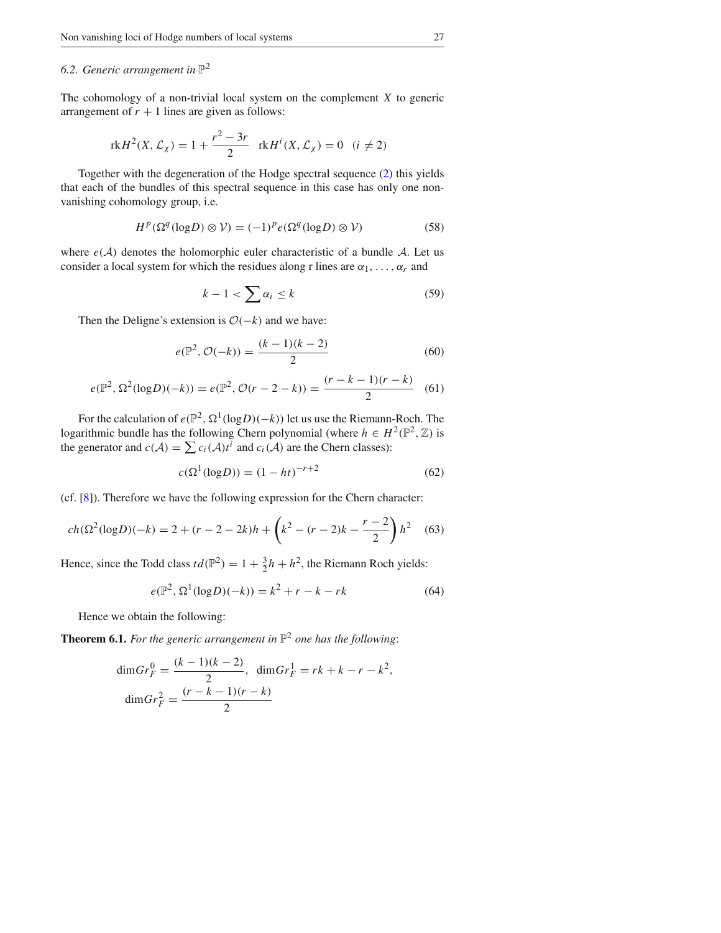## 6.2. Generic arrangement in  $\mathbb{P}^2$

The cohomology of a non-trivial local system on the complement *X* to generic arrangement of  $r + 1$  lines are given as follows:

$$
rkH^{2}(X, \mathcal{L}_{\chi}) = 1 + \frac{r^{2} - 3r}{2} \quad rkH^{i}(X, \mathcal{L}_{\chi}) = 0 \quad (i \neq 2)
$$

Together with the degeneration of the Hodge spectral sequence (2) this yields that each of the bundles of this spectral sequence in this case has only one nonvanishing cohomology group, i.e.

$$
H^{p}(\Omega^{q}(\log D) \otimes V) = (-1)^{p} e(\Omega^{q}(\log D) \otimes V)
$$
 (58)

where  $e(A)$  denotes the holomorphic euler characteristic of a bundle  $A$ . Let us consider a local system for which the residues along r lines are  $\alpha_1, \ldots, \alpha_r$  and

$$
k - 1 < \sum \alpha_i \le k \tag{59}
$$

Then the Deligne's extension is  $O(-k)$  and we have:

$$
e(\mathbb{P}^2, \mathcal{O}(-k)) = \frac{(k-1)(k-2)}{2} \tag{60}
$$

$$
e(\mathbb{P}^2, \Omega^2(\log D)(-k)) = e(\mathbb{P}^2, \mathcal{O}(r-2-k)) = \frac{(r-k-1)(r-k)}{2}
$$
 (61)

For the calculation of  $e(\mathbb{P}^2, \Omega^1(\log D)(-k))$  let us use the Riemann-Roch. The logarithmic bundle has the following Chern polynomial (where  $h \in H^2(\mathbb{P}^2, \mathbb{Z})$  is the generator and  $c(\mathcal{A}) = \sum c_i(\mathcal{A})t^i$  and  $c_i(\mathcal{A})$  are the Chern classes):

$$
c(\Omega^1(\log D)) = (1 - ht)^{-r+2}
$$
 (62)

(cf. [8]). Therefore we have the following expression for the Chern character:

$$
ch(\Omega^2(\log D)(-k) = 2 + (r - 2 - 2k)h + \left(k^2 - (r - 2)k - \frac{r - 2}{2}\right)h^2
$$
 (63)

Hence, since the Todd class  $td(\mathbb{P}^2) = 1 + \frac{3}{2}h + h^2$ , the Riemann Roch yields:

$$
e(\mathbb{P}^2, \Omega^1(\log D)(-k)) = k^2 + r - k - rk \tag{64}
$$

Hence we obtain the following:

**Theorem 6.1.** For the generic arrangement in  $\mathbb{P}^2$  one has the following:

$$
\dim Gr_F^0 = \frac{(k-1)(k-2)}{2}, \quad \dim Gr_F^1 = rk + k - r - k^2,
$$

$$
\dim Gr_F^2 = \frac{(r-k-1)(r-k)}{2}
$$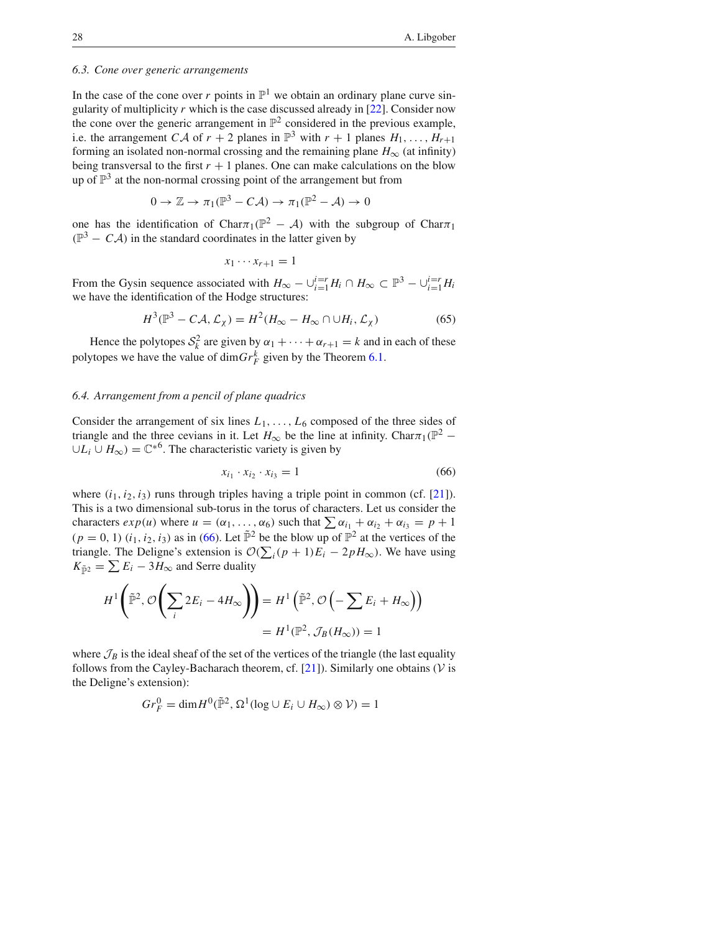### *6.3. Cone over generic arrangements*

In the case of the cone over *r* points in  $\mathbb{P}^1$  we obtain an ordinary plane curve singularity of multiplicity *r* which is the case discussed already in [22]. Consider now the cone over the generic arrangement in  $\mathbb{P}^2$  considered in the previous example, i.e. the arrangement *CA* of  $r + 2$  planes in  $\mathbb{P}^3$  with  $r + 1$  planes  $H_1, \ldots, H_{r+1}$ forming an isolated non-normal crossing and the remaining plane  $H_{\infty}$  (at infinity) being transversal to the first  $r + 1$  planes. One can make calculations on the blow up of  $\mathbb{P}^3$  at the non-normal crossing point of the arrangement but from

$$
0 \to \mathbb{Z} \to \pi_1(\mathbb{P}^3 - C\mathcal{A}) \to \pi_1(\mathbb{P}^2 - \mathcal{A}) \to 0
$$

one has the identification of Char $\pi_1(\mathbb{P}^2 - A)$  with the subgroup of Char $\pi_1$  $(\mathbb{P}^3 - C\mathcal{A})$  in the standard coordinates in the latter given by

$$
x_1\cdots x_{r+1}=1
$$

From the Gysin sequence associated with  $H_{\infty} - \bigcup_{i=1}^{i=r} H_i \cap H_{\infty} \subset \mathbb{P}^3 - \bigcup_{i=1}^{i=r} H_i$ we have the identification of the Hodge structures:

$$
H^{3}(\mathbb{P}^{3} - CA, \mathcal{L}_{\chi}) = H^{2}(H_{\infty} - H_{\infty} \cap \cup H_{i}, \mathcal{L}_{\chi})
$$
\n(65)

Hence the polytopes  $S_k^2$  are given by  $\alpha_1 + \cdots + \alpha_{r+1} = k$  and in each of these polytopes we have the value of  $\dim Gr_F^k$  given by the Theorem 6.1.

#### *6.4. Arrangement from a pencil of plane quadrics*

Consider the arrangement of six lines  $L_1, \ldots, L_6$  composed of the three sides of triangle and the three cevians in it. Let  $H_{\infty}$  be the line at infinity. Char $\pi_1(\mathbb{P}^2$  – ∪ $L_i$  ∪  $H_{\infty}$ ) =  $\mathbb{C}^{*6}$ . The characteristic variety is given by

$$
x_{i_1} \cdot x_{i_2} \cdot x_{i_3} = 1 \tag{66}
$$

where  $(i_1, i_2, i_3)$  runs through triples having a triple point in common (cf. [21]). This is a two dimensional sub-torus in the torus of characters. Let us consider the characters  $exp(u)$  where  $u = (\alpha_1, \ldots, \alpha_6)$  such that  $\sum \alpha_{i_1} + \alpha_{i_2} + \alpha_{i_3} = p + 1$  $(p = 0, 1)$   $(i_1, i_2, i_3)$  as in (66). Let  $\tilde{\mathbb{P}}^2$  be the blow up of  $\mathbb{P}^2$  at the vertices of the triangle. The Deligne's extension is  $\mathcal{O}(\sum_i (p+1)E_i - 2pH_\infty)$ . We have using  $K_{\tilde{\mathbb{P}}^2} = \sum E_i - 3H_{\infty}$  and Serre duality

$$
H^{1}\left(\tilde{\mathbb{P}}^{2}, \mathcal{O}\left(\sum_{i} 2E_{i} - 4H_{\infty}\right)\right) = H^{1}\left(\tilde{\mathbb{P}}^{2}, \mathcal{O}\left(-\sum E_{i} + H_{\infty}\right)\right)
$$

$$
= H^{1}(\mathbb{P}^{2}, \mathcal{J}_{B}(H_{\infty})) = 1
$$

where  $\mathcal{J}_B$  is the ideal sheaf of the set of the vertices of the triangle (the last equality follows from the Cayley-Bacharach theorem, cf.  $[21]$ ). Similarly one obtains ( $V$  is the Deligne's extension):

$$
Gr_F^0 = \dim H^0(\tilde{\mathbb{P}}^2, \Omega^1(\log \cup E_i \cup H_\infty) \otimes \mathcal{V}) = 1
$$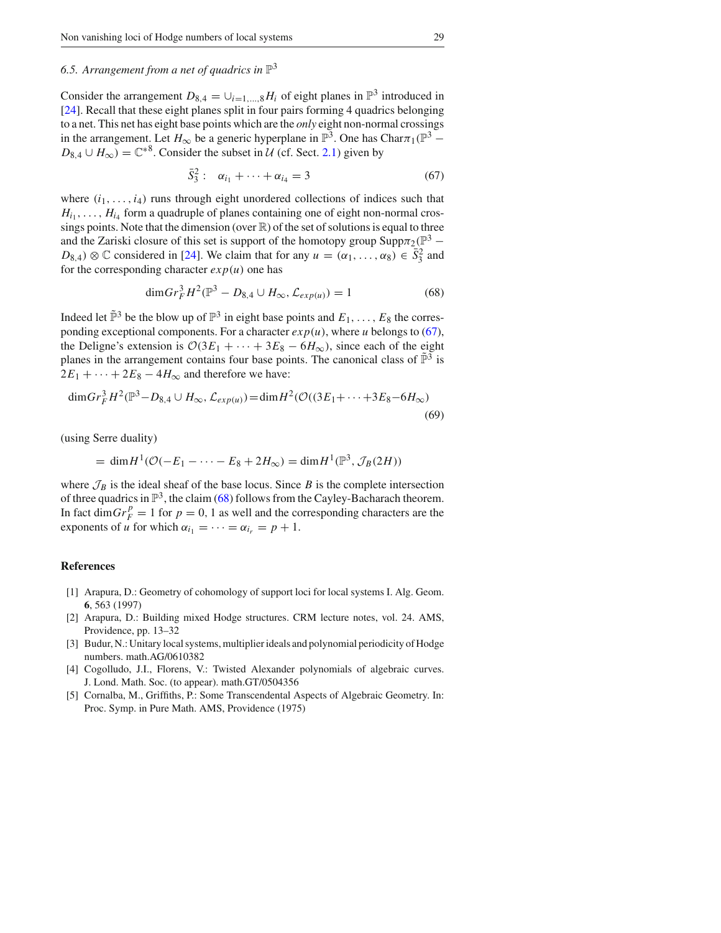# 6.5. Arrangement from a net of quadrics in  $\mathbb{P}^3$

Consider the arrangement  $D_{8,4} = \bigcup_{i=1,\dots,8} H_i$  of eight planes in  $\mathbb{P}^3$  introduced in [24]. Recall that these eight planes split in four pairs forming 4 quadrics belonging to a net. This net has eight base points which are the *only* eight non-normal crossings in the arrangement. Let  $H_{\infty}$  be a generic hyperplane in  $\mathbb{P}^{3}$ . One has Char $\pi_1(\mathbb{P}^{3}$  –  $D_{8,4} \cup H_{\infty}$ ) =  $\mathbb{C}^{*8}$ . Consider the subset in *U* (cf. Sect. 2.1) given by

$$
\bar{S}_3^2: \quad \alpha_{i_1} + \dots + \alpha_{i_4} = 3 \tag{67}
$$

where  $(i_1, \ldots, i_4)$  runs through eight unordered collections of indices such that  $H_{i_1}, \ldots, H_{i_4}$  form a quadruple of planes containing one of eight non-normal crossings points. Note that the dimension (over  $\mathbb{R}$ ) of the set of solutions is equal to three and the Zariski closure of this set is support of the homotopy group Supp $\pi_2(\mathbb{P}^3 D_{8,4}$ ) ⊗  $\mathbb C$  considered in [24]. We claim that for any  $u = (\alpha_1, \ldots, \alpha_8) \in \bar{S}_3^2$  and for the corresponding character  $exp(u)$  one has

$$
\dim Gr_F^3 H^2(\mathbb{P}^3 - D_{8,4} \cup H_{\infty}, \mathcal{L}_{exp(u)}) = 1 \tag{68}
$$

Indeed let  $\tilde{\mathbb{P}}^3$  be the blow up of  $\mathbb{P}^3$  in eight base points and  $E_1, \ldots, E_8$  the corresponding exceptional components. For a character  $exp(u)$ , where *u* belongs to (67), the Deligne's extension is  $O(3E_1 + \cdots + 3E_8 - 6H_\infty)$ , since each of the eight planes in the arrangement contains four base points. The canonical class of  $\tilde{\mathbb{P}}^3$  is  $2E_1 + \cdots + 2E_8 - 4H_{\infty}$  and therefore we have:

$$
\dim Gr_F^3 H^2(\mathbb{P}^3 - D_{8,4} \cup H_{\infty}, \mathcal{L}_{exp(u)}) = \dim H^2(\mathcal{O}((3E_1 + \dots + 3E_8 - 6H_{\infty}))
$$
\n(69)

(using Serre duality)

$$
= \dim H^{1}(\mathcal{O}(-E_{1} - \dots - E_{8} + 2H_{\infty}) = \dim H^{1}(\mathbb{P}^{3}, \mathcal{J}_{B}(2H))
$$

where  $\mathcal{J}_B$  is the ideal sheaf of the base locus. Since *B* is the complete intersection of three quadrics in  $\mathbb{P}^3$ , the claim (68) follows from the Cayley-Bacharach theorem. In fact dim $Gr_F^p = 1$  for  $p = 0$ , 1 as well and the corresponding characters are the exponents of *u* for which  $\alpha_{i_1} = \cdots = \alpha_{i_r} = p + 1$ .

#### **References**

- [1] Arapura, D.: Geometry of cohomology of support loci for local systems I. Alg. Geom. **6**, 563 (1997)
- [2] Arapura, D.: Building mixed Hodge structures. CRM lecture notes, vol. 24. AMS, Providence, pp. 13–32
- [3] Budur, N.: Unitary local systems, multiplier ideals and polynomial periodicity of Hodge numbers. math.AG/0610382
- [4] Cogolludo, J.I., Florens, V.: Twisted Alexander polynomials of algebraic curves. J. Lond. Math. Soc. (to appear). math.GT/0504356
- [5] Cornalba, M., Griffiths, P.: Some Transcendental Aspects of Algebraic Geometry. In: Proc. Symp. in Pure Math. AMS, Providence (1975)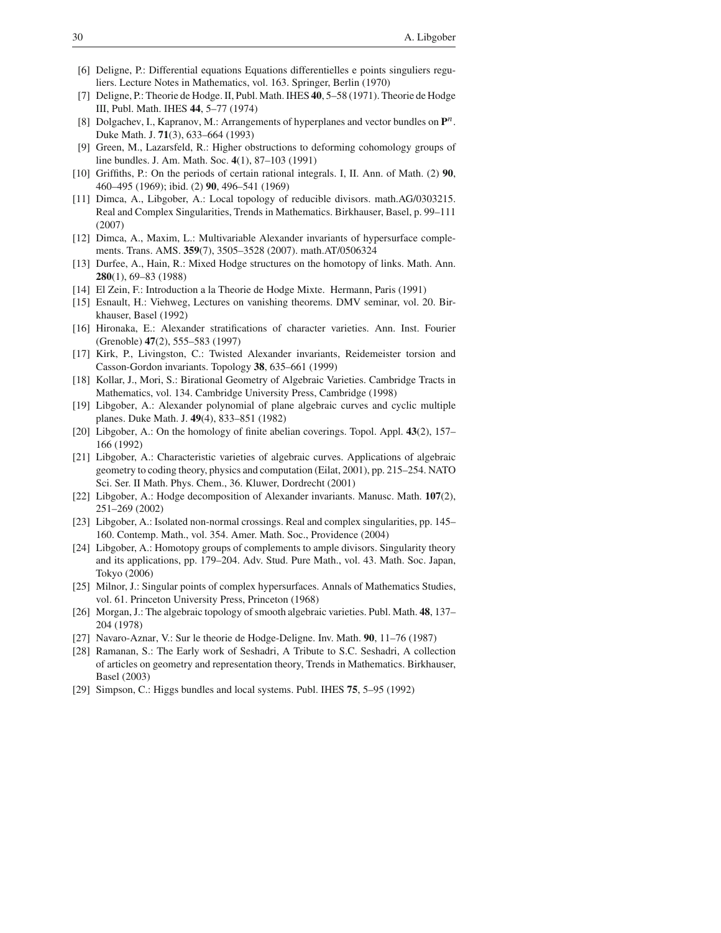- [6] Deligne, P.: Differential equations Equations differentielles e points singuliers reguliers. Lecture Notes in Mathematics, vol. 163. Springer, Berlin (1970)
- [7] Deligne, P.: Theorie de Hodge. II, Publ. Math. IHES **40**, 5–58 (1971). Theorie de Hodge III, Publ. Math. IHES **44**, 5–77 (1974)
- [8] Dolgachev, I., Kapranov, M.: Arrangements of hyperplanes and vector bundles on **P***n*. Duke Math. J. **71**(3), 633–664 (1993)
- [9] Green, M., Lazarsfeld, R.: Higher obstructions to deforming cohomology groups of line bundles. J. Am. Math. Soc. **4**(1), 87–103 (1991)
- [10] Griffiths, P.: On the periods of certain rational integrals. I, II. Ann. of Math. (2) **90**, 460–495 (1969); ibid. (2) **90**, 496–541 (1969)
- [11] Dimca, A., Libgober, A.: Local topology of reducible divisors. math.AG/0303215. Real and Complex Singularities, Trends in Mathematics. Birkhauser, Basel, p. 99–111 (2007)
- [12] Dimca, A., Maxim, L.: Multivariable Alexander invariants of hypersurface complements. Trans. AMS. **359**(7), 3505–3528 (2007). math.AT/0506324
- [13] Durfee, A., Hain, R.: Mixed Hodge structures on the homotopy of links. Math. Ann. **280**(1), 69–83 (1988)
- [14] El Zein, F.: Introduction a la Theorie de Hodge Mixte. Hermann, Paris (1991)
- [15] Esnault, H.: Viehweg, Lectures on vanishing theorems. DMV seminar, vol. 20. Birkhauser, Basel (1992)
- [16] Hironaka, E.: Alexander stratifications of character varieties. Ann. Inst. Fourier (Grenoble) **47**(2), 555–583 (1997)
- [17] Kirk, P., Livingston, C.: Twisted Alexander invariants, Reidemeister torsion and Casson-Gordon invariants. Topology **38**, 635–661 (1999)
- [18] Kollar, J., Mori, S.: Birational Geometry of Algebraic Varieties. Cambridge Tracts in Mathematics, vol. 134. Cambridge University Press, Cambridge (1998)
- [19] Libgober, A.: Alexander polynomial of plane algebraic curves and cyclic multiple planes. Duke Math. J. **49**(4), 833–851 (1982)
- [20] Libgober, A.: On the homology of finite abelian coverings. Topol. Appl. **43**(2), 157– 166 (1992)
- [21] Libgober, A.: Characteristic varieties of algebraic curves. Applications of algebraic geometry to coding theory, physics and computation (Eilat, 2001), pp. 215–254. NATO Sci. Ser. II Math. Phys. Chem., 36. Kluwer, Dordrecht (2001)
- [22] Libgober, A.: Hodge decomposition of Alexander invariants. Manusc. Math. **107**(2), 251–269 (2002)
- [23] Libgober, A.: Isolated non-normal crossings. Real and complex singularities, pp. 145– 160. Contemp. Math., vol. 354. Amer. Math. Soc., Providence (2004)
- [24] Libgober, A.: Homotopy groups of complements to ample divisors. Singularity theory and its applications, pp. 179–204. Adv. Stud. Pure Math., vol. 43. Math. Soc. Japan, Tokyo (2006)
- [25] Milnor, J.: Singular points of complex hypersurfaces. Annals of Mathematics Studies, vol. 61. Princeton University Press, Princeton (1968)
- [26] Morgan, J.: The algebraic topology of smooth algebraic varieties. Publ. Math. **48**, 137– 204 (1978)
- [27] Navaro-Aznar, V.: Sur le theorie de Hodge-Deligne. Inv. Math. **90**, 11–76 (1987)
- [28] Ramanan, S.: The Early work of Seshadri, A Tribute to S.C. Seshadri, A collection of articles on geometry and representation theory, Trends in Mathematics. Birkhauser, Basel (2003)
- [29] Simpson, C.: Higgs bundles and local systems. Publ. IHES **75**, 5–95 (1992)